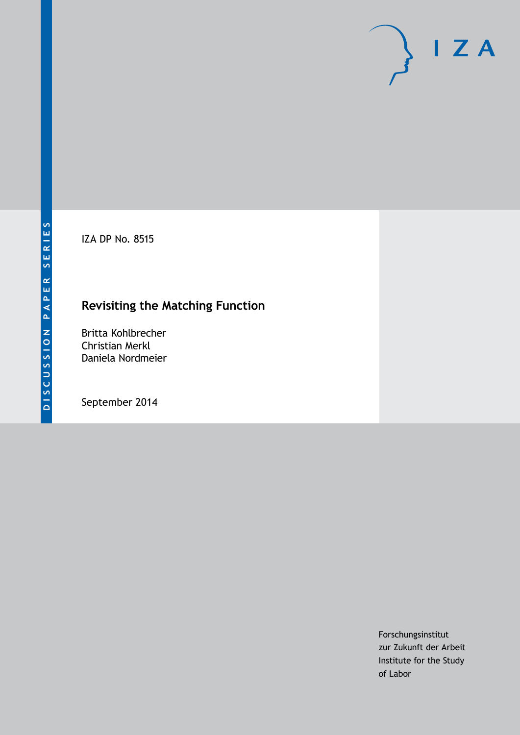IZA DP No. 8515

## **Revisiting the Matching Function**

Britta Kohlbrecher Christian Merkl Daniela Nordmeier

September 2014

Forschungsinstitut zur Zukunft der Arbeit Institute for the Study of Labor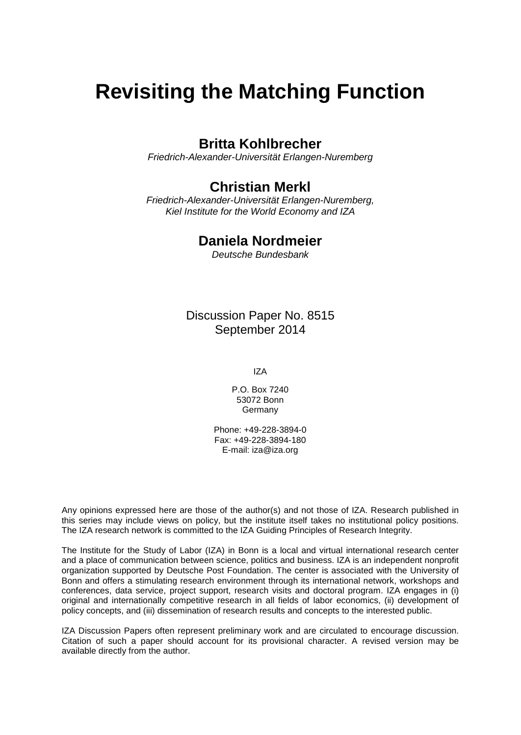# **Revisiting the Matching Function**

## **Britta Kohlbrecher**

*Friedrich-Alexander-Universität Erlangen-Nuremberg*

## **Christian Merkl**

*Friedrich-Alexander-Universität Erlangen-Nuremberg, Kiel Institute for the World Economy and IZA*

## **Daniela Nordmeier**

*Deutsche Bundesbank*

Discussion Paper No. 8515 September 2014

IZA

P.O. Box 7240 53072 Bonn **Germany** 

Phone: +49-228-3894-0 Fax: +49-228-3894-180 E-mail: [iza@iza.org](mailto:iza@iza.org)

Any opinions expressed here are those of the author(s) and not those of IZA. Research published in this series may include views on policy, but the institute itself takes no institutional policy positions. The IZA research network is committed to the IZA Guiding Principles of Research Integrity.

The Institute for the Study of Labor (IZA) in Bonn is a local and virtual international research center and a place of communication between science, politics and business. IZA is an independent nonprofit organization supported by Deutsche Post Foundation. The center is associated with the University of Bonn and offers a stimulating research environment through its international network, workshops and conferences, data service, project support, research visits and doctoral program. IZA engages in (i) original and internationally competitive research in all fields of labor economics, (ii) development of policy concepts, and (iii) dissemination of research results and concepts to the interested public.

<span id="page-1-0"></span>IZA Discussion Papers often represent preliminary work and are circulated to encourage discussion. Citation of such a paper should account for its provisional character. A revised version may be available directly from the author.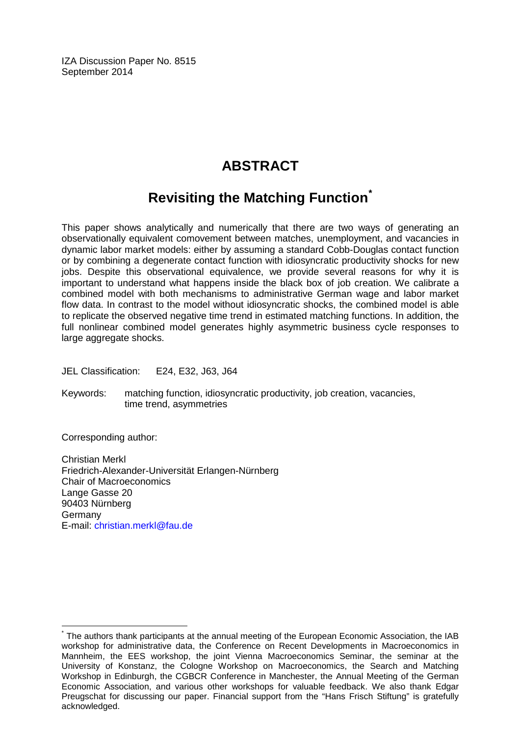IZA Discussion Paper No. 8515 September 2014

## **ABSTRACT**

## **Revisiting the Matching Function[\\*](#page-1-0)**

This paper shows analytically and numerically that there are two ways of generating an observationally equivalent comovement between matches, unemployment, and vacancies in dynamic labor market models: either by assuming a standard Cobb-Douglas contact function or by combining a degenerate contact function with idiosyncratic productivity shocks for new jobs. Despite this observational equivalence, we provide several reasons for why it is important to understand what happens inside the black box of job creation. We calibrate a combined model with both mechanisms to administrative German wage and labor market flow data. In contrast to the model without idiosyncratic shocks, the combined model is able to replicate the observed negative time trend in estimated matching functions. In addition, the full nonlinear combined model generates highly asymmetric business cycle responses to large aggregate shocks.

JEL Classification: E24, E32, J63, J64

Keywords: matching function, idiosyncratic productivity, job creation, vacancies, time trend, asymmetries

Corresponding author:

Christian Merkl Friedrich-Alexander-Universität Erlangen-Nürnberg Chair of Macroeconomics Lange Gasse 20 90403 Nürnberg Germany E-mail: [christian.merkl@fau.de](mailto:christian.merkl@fau.de)

The authors thank participants at the annual meeting of the European Economic Association, the IAB workshop for administrative data, the Conference on Recent Developments in Macroeconomics in Mannheim, the EES workshop, the joint Vienna Macroeconomics Seminar, the seminar at the University of Konstanz, the Cologne Workshop on Macroeconomics, the Search and Matching Workshop in Edinburgh, the CGBCR Conference in Manchester, the Annual Meeting of the German Economic Association, and various other workshops for valuable feedback. We also thank Edgar Preugschat for discussing our paper. Financial support from the "Hans Frisch Stiftung" is gratefully acknowledged.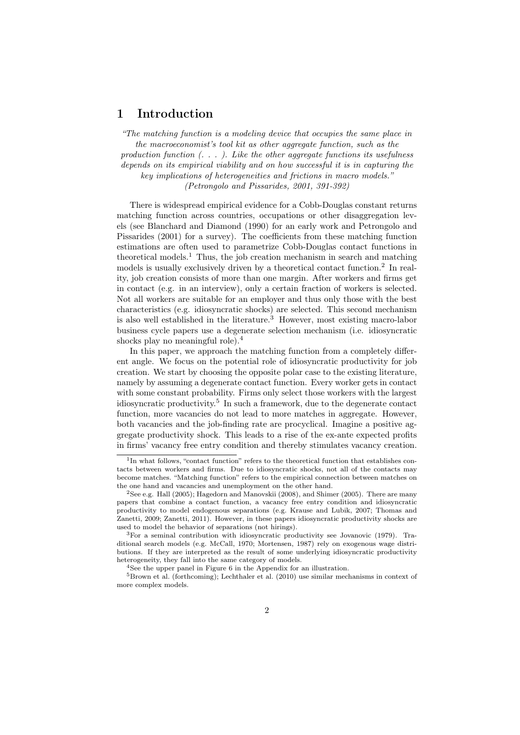## 1 Introduction

*"The matching function is a modeling device that occupies the same place in the macroeconomist's tool kit as other aggregate function, such as the production function (. . . ). Like the other aggregate functions its usefulness depends on its empirical viability and on how successful it is in capturing the key implications of heterogeneities and frictions in macro models." (Petrongolo and Pissarides, 2001, 391-392)*

There is widespread empirical evidence for a Cobb-Douglas constant returns matching function across countries, occupations or other disaggregation levels (see Blanchard and Diamond (1990) for an early work and Petrongolo and Pissarides (2001) for a survey). The coefficients from these matching function estimations are often used to parametrize Cobb-Douglas contact functions in theoretical models.<sup>1</sup> Thus, the job creation mechanism in search and matching models is usually exclusively driven by a theoretical contact function.<sup>2</sup> In reality, job creation consists of more than one margin. After workers and firms get in contact (e.g. in an interview), only a certain fraction of workers is selected. Not all workers are suitable for an employer and thus only those with the best characteristics (e.g. idiosyncratic shocks) are selected. This second mechanism is also well established in the literature.<sup>3</sup> However, most existing macro-labor business cycle papers use a degenerate selection mechanism (i.e. idiosyncratic shocks play no meaningful role).<sup>4</sup>

In this paper, we approach the matching function from a completely different angle. We focus on the potential role of idiosyncratic productivity for job creation. We start by choosing the opposite polar case to the existing literature, namely by assuming a degenerate contact function. Every worker gets in contact with some constant probability. Firms only select those workers with the largest idiosyncratic productivity.<sup>5</sup> In such a framework, due to the degenerate contact function, more vacancies do not lead to more matches in aggregate. However, both vacancies and the job-finding rate are procyclical. Imagine a positive aggregate productivity shock. This leads to a rise of the ex-ante expected profits in firms' vacancy free entry condition and thereby stimulates vacancy creation.

<sup>&</sup>lt;sup>1</sup>In what follows, "contact function" refers to the theoretical function that establishes contacts between workers and firms. Due to idiosyncratic shocks, not all of the contacts may become matches. "Matching function" refers to the empirical connection between matches on the one hand and vacancies and unemployment on the other hand.

<sup>&</sup>lt;sup>2</sup>See e.g. Hall (2005); Hagedorn and Manovskii (2008), and Shimer (2005). There are many papers that combine a contact function, a vacancy free entry condition and idiosyncratic productivity to model endogenous separations (e.g. Krause and Lubik, 2007; Thomas and Zanetti, 2009; Zanetti, 2011). However, in these papers idiosyncratic productivity shocks are used to model the behavior of separations (not hirings).

<sup>3</sup>For a seminal contribution with idiosyncratic productivity see Jovanovic (1979). Traditional search models (e.g. McCall, 1970; Mortensen, 1987) rely on exogenous wage distributions. If they are interpreted as the result of some underlying idiosyncratic productivity heterogeneity, they fall into the same category of models.

<sup>4</sup>See the upper panel in Figure 6 in the Appendix for an illustration.

 $5Brown$  et al. (forthcoming); Lechthaler et al. (2010) use similar mechanisms in context of more complex models.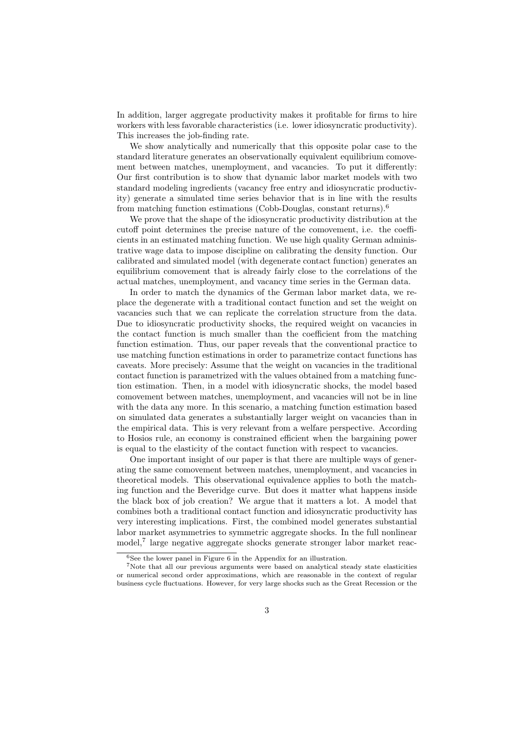In addition, larger aggregate productivity makes it profitable for firms to hire workers with less favorable characteristics (i.e. lower idiosyncratic productivity). This increases the job-finding rate.

We show analytically and numerically that this opposite polar case to the standard literature generates an observationally equivalent equilibrium comovement between matches, unemployment, and vacancies. To put it differently: Our first contribution is to show that dynamic labor market models with two standard modeling ingredients (vacancy free entry and idiosyncratic productivity) generate a simulated time series behavior that is in line with the results from matching function estimations (Cobb-Douglas, constant returns).<sup>6</sup>

We prove that the shape of the idiosyncratic productivity distribution at the cutoff point determines the precise nature of the comovement, i.e. the coefficients in an estimated matching function. We use high quality German administrative wage data to impose discipline on calibrating the density function. Our calibrated and simulated model (with degenerate contact function) generates an equilibrium comovement that is already fairly close to the correlations of the actual matches, unemployment, and vacancy time series in the German data.

In order to match the dynamics of the German labor market data, we replace the degenerate with a traditional contact function and set the weight on vacancies such that we can replicate the correlation structure from the data. Due to idiosyncratic productivity shocks, the required weight on vacancies in the contact function is much smaller than the coefficient from the matching function estimation. Thus, our paper reveals that the conventional practice to use matching function estimations in order to parametrize contact functions has caveats. More precisely: Assume that the weight on vacancies in the traditional contact function is parametrized with the values obtained from a matching function estimation. Then, in a model with idiosyncratic shocks, the model based comovement between matches, unemployment, and vacancies will not be in line with the data any more. In this scenario, a matching function estimation based on simulated data generates a substantially larger weight on vacancies than in the empirical data. This is very relevant from a welfare perspective. According to Hosios rule, an economy is constrained efficient when the bargaining power is equal to the elasticity of the contact function with respect to vacancies.

One important insight of our paper is that there are multiple ways of generating the same comovement between matches, unemployment, and vacancies in theoretical models. This observational equivalence applies to both the matching function and the Beveridge curve. But does it matter what happens inside the black box of job creation? We argue that it matters a lot. A model that combines both a traditional contact function and idiosyncratic productivity has very interesting implications. First, the combined model generates substantial labor market asymmetries to symmetric aggregate shocks. In the full nonlinear model,<sup>7</sup> large negative aggregate shocks generate stronger labor market reac-

 $6$ See the lower panel in Figure  $6$  in the Appendix for an illustration.

 $7$ Note that all our previous arguments were based on analytical steady state elasticities or numerical second order approximations, which are reasonable in the context of regular business cycle fluctuations. However, for very large shocks such as the Great Recession or the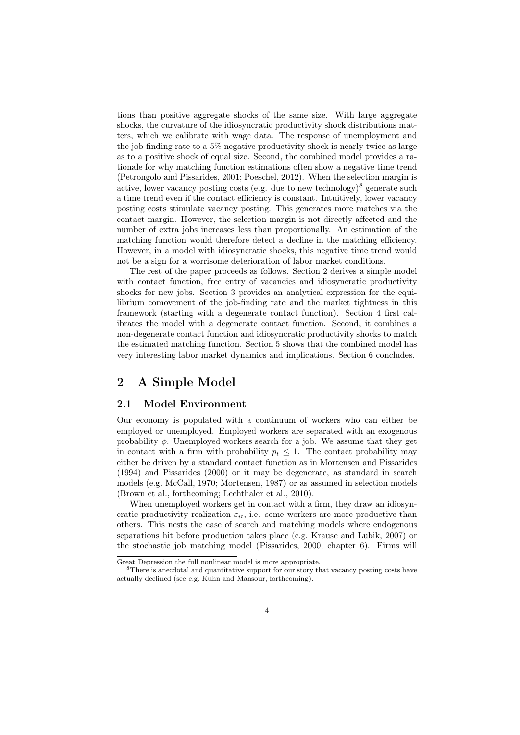tions than positive aggregate shocks of the same size. With large aggregate shocks, the curvature of the idiosyncratic productivity shock distributions matters, which we calibrate with wage data. The response of unemployment and the job-finding rate to a 5% negative productivity shock is nearly twice as large as to a positive shock of equal size. Second, the combined model provides a rationale for why matching function estimations often show a negative time trend (Petrongolo and Pissarides, 2001; Poeschel, 2012). When the selection margin is active, lower vacancy posting costs (e.g. due to new technology)<sup>8</sup> generate such a time trend even if the contact efficiency is constant. Intuitively, lower vacancy posting costs stimulate vacancy posting. This generates more matches via the contact margin. However, the selection margin is not directly affected and the number of extra jobs increases less than proportionally. An estimation of the matching function would therefore detect a decline in the matching efficiency. However, in a model with idiosyncratic shocks, this negative time trend would not be a sign for a worrisome deterioration of labor market conditions.

The rest of the paper proceeds as follows. Section 2 derives a simple model with contact function, free entry of vacancies and idiosyncratic productivity shocks for new jobs. Section 3 provides an analytical expression for the equilibrium comovement of the job-finding rate and the market tightness in this framework (starting with a degenerate contact function). Section 4 first calibrates the model with a degenerate contact function. Second, it combines a non-degenerate contact function and idiosyncratic productivity shocks to match the estimated matching function. Section 5 shows that the combined model has very interesting labor market dynamics and implications. Section 6 concludes.

## 2 A Simple Model

#### 2.1 Model Environment

Our economy is populated with a continuum of workers who can either be employed or unemployed. Employed workers are separated with an exogenous probability  $\phi$ . Unemployed workers search for a job. We assume that they get in contact with a firm with probability  $p_t \leq 1$ . The contact probability may either be driven by a standard contact function as in Mortensen and Pissarides (1994) and Pissarides (2000) or it may be degenerate, as standard in search models (e.g. McCall, 1970; Mortensen, 1987) or as assumed in selection models (Brown et al., forthcoming; Lechthaler et al., 2010).

When unemployed workers get in contact with a firm, they draw an idiosyncratic productivity realization  $\varepsilon_{it}$ , i.e. some workers are more productive than others. This nests the case of search and matching models where endogenous separations hit before production takes place (e.g. Krause and Lubik, 2007) or the stochastic job matching model (Pissarides, 2000, chapter 6). Firms will

Great Depression the full nonlinear model is more appropriate.

<sup>&</sup>lt;sup>8</sup>There is anecdotal and quantitative support for our story that vacancy posting costs have actually declined (see e.g. Kuhn and Mansour, forthcoming).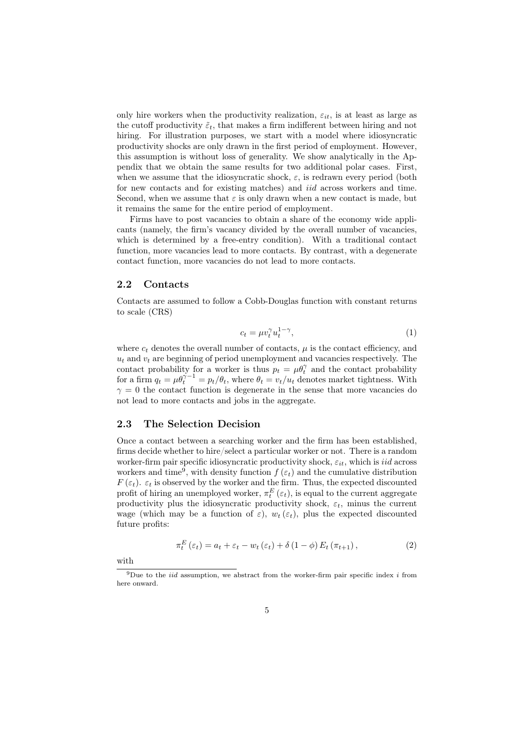only hire workers when the productivity realization,  $\varepsilon_{it}$ , is at least as large as the cutoff productivity  $\tilde{\varepsilon}_t$ , that makes a firm indifferent between hiring and not hiring. For illustration purposes, we start with a model where idiosyncratic productivity shocks are only drawn in the first period of employment. However, this assumption is without loss of generality. We show analytically in the Appendix that we obtain the same results for two additional polar cases. First, when we assume that the idiosyncratic shock,  $\varepsilon$ , is redrawn every period (both for new contacts and for existing matches) and *iid* across workers and time. Second, when we assume that  $\varepsilon$  is only drawn when a new contact is made, but it remains the same for the entire period of employment.

Firms have to post vacancies to obtain a share of the economy wide applicants (namely, the firm's vacancy divided by the overall number of vacancies, which is determined by a free-entry condition). With a traditional contact function, more vacancies lead to more contacts. By contrast, with a degenerate contact function, more vacancies do not lead to more contacts.

#### 2.2 Contacts

Contacts are assumed to follow a Cobb-Douglas function with constant returns to scale (CRS)

$$
c_t = \mu v_t^{\gamma} u_t^{1-\gamma},\tag{1}
$$

where  $c_t$  denotes the overall number of contacts,  $\mu$  is the contact efficiency, and  $u_t$  and  $v_t$  are beginning of period unemployment and vacancies respectively. The contact probability for a worker is thus  $p_t = \mu \theta_t^{\gamma}$  and the contact probability for a firm  $q_t = \mu \theta_t^{\gamma - 1} = p_t/\theta_t$ , where  $\theta_t = v_t/u_t$  denotes market tightness. With  $\gamma = 0$  the contact function is degenerate in the sense that more vacancies do not lead to more contacts and jobs in the aggregate.

#### 2.3 The Selection Decision

Once a contact between a searching worker and the firm has been established, firms decide whether to hire/select a particular worker or not. There is a random worker-firm pair specific idiosyncratic productivity shock, *εit*, which is *iid* across workers and time<sup>9</sup>, with density function  $f(\varepsilon_t)$  and the cumulative distribution *F* ( $\varepsilon$ *t*).  $\varepsilon$ *t* is observed by the worker and the firm. Thus, the expected discounted profit of hiring an unemployed worker,  $\pi_t^E(\varepsilon_t)$ , is equal to the current aggregate productivity plus the idiosyncratic productivity shock,  $\varepsilon_t$ , minus the current wage (which may be a function of  $\varepsilon$ ),  $w_t(\varepsilon_t)$ , plus the expected discounted future profits:

$$
\pi_t^E(\varepsilon_t) = a_t + \varepsilon_t - w_t(\varepsilon_t) + \delta(1 - \phi) E_t(\pi_{t+1}), \qquad (2)
$$

with

<sup>9</sup>Due to the *iid* assumption, we abstract from the worker-firm pair specific index *i* from here onward.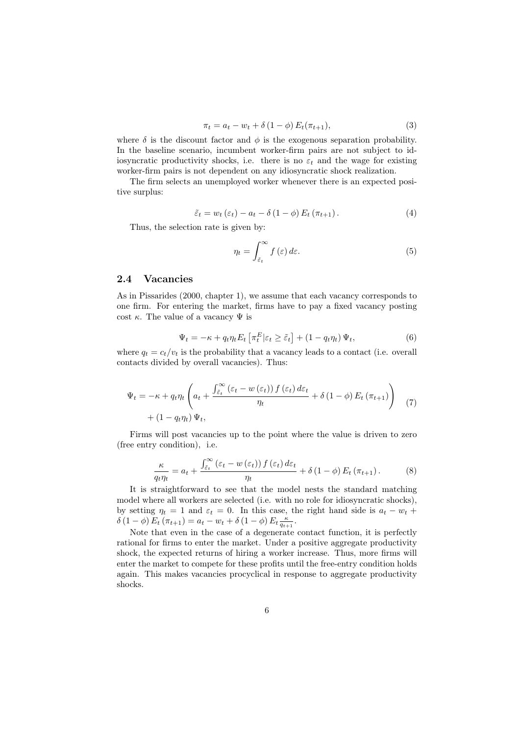$$
\pi_t = a_t - w_t + \delta (1 - \phi) E_t(\pi_{t+1}),
$$
\n(3)

where  $\delta$  is the discount factor and  $\phi$  is the exogenous separation probability. In the baseline scenario, incumbent worker-firm pairs are not subject to idiosyncratic productivity shocks, i.e. there is no  $\varepsilon_t$  and the wage for existing worker-firm pairs is not dependent on any idiosyncratic shock realization.

The firm selects an unemployed worker whenever there is an expected positive surplus:

$$
\tilde{\varepsilon}_t = w_t \left( \varepsilon_t \right) - a_t - \delta \left( 1 - \phi \right) E_t \left( \pi_{t+1} \right). \tag{4}
$$

Thus, the selection rate is given by:

$$
\eta_t = \int_{\tilde{\varepsilon}_t}^{\infty} f(\varepsilon) d\varepsilon. \tag{5}
$$

#### 2.4 Vacancies

As in Pissarides (2000, chapter 1), we assume that each vacancy corresponds to one firm. For entering the market, firms have to pay a fixed vacancy posting cost  $\kappa$ . The value of a vacancy  $\Psi$  is

$$
\Psi_t = -\kappa + q_t \eta_t E_t \left[ \pi_t^E | \varepsilon_t \ge \tilde{\varepsilon}_t \right] + (1 - q_t \eta_t) \Psi_t,\tag{6}
$$

where  $q_t = c_t/v_t$  is the probability that a vacancy leads to a contact (i.e. overall contacts divided by overall vacancies). Thus:

$$
\Psi_{t} = -\kappa + q_{t} \eta_{t} \left( a_{t} + \frac{\int_{\tilde{\varepsilon}_{t}}^{\infty} \left( \varepsilon_{t} - w\left(\varepsilon_{t}\right) \right) f\left(\varepsilon_{t}\right) d\varepsilon_{t}}{\eta_{t}} + \delta \left( 1 - \phi \right) E_{t} \left( \pi_{t+1} \right) \right) \tag{7}
$$
\n
$$
+ \left( 1 - q_{t} \eta_{t} \right) \Psi_{t},
$$

Firms will post vacancies up to the point where the value is driven to zero (free entry condition), i.e.

$$
\frac{\kappa}{q_t \eta_t} = a_t + \frac{\int_{\tilde{\varepsilon}_t}^{\infty} \left(\varepsilon_t - w\left(\varepsilon_t\right)\right) f\left(\varepsilon_t\right) d\varepsilon_t}{\eta_t} + \delta \left(1 - \phi\right) E_t \left(\pi_{t+1}\right). \tag{8}
$$

It is straightforward to see that the model nests the standard matching model where all workers are selected (i.e. with no role for idiosyncratic shocks), by setting  $\eta_t = 1$  and  $\varepsilon_t = 0$ . In this case, the right hand side is  $a_t - w_t$  +  $\delta$  (1 *−*  $\phi$ )  $E_t$  ( $\pi_{t+1}$ ) =  $a_t$  *−*  $w_t$  +  $\delta$  (1 −  $\phi$ )  $E_t \frac{\kappa}{q_{t+1}}$ .

Note that even in the case of a degenerate contact function, it is perfectly rational for firms to enter the market. Under a positive aggregate productivity shock, the expected returns of hiring a worker increase. Thus, more firms will enter the market to compete for these profits until the free-entry condition holds again. This makes vacancies procyclical in response to aggregate productivity shocks.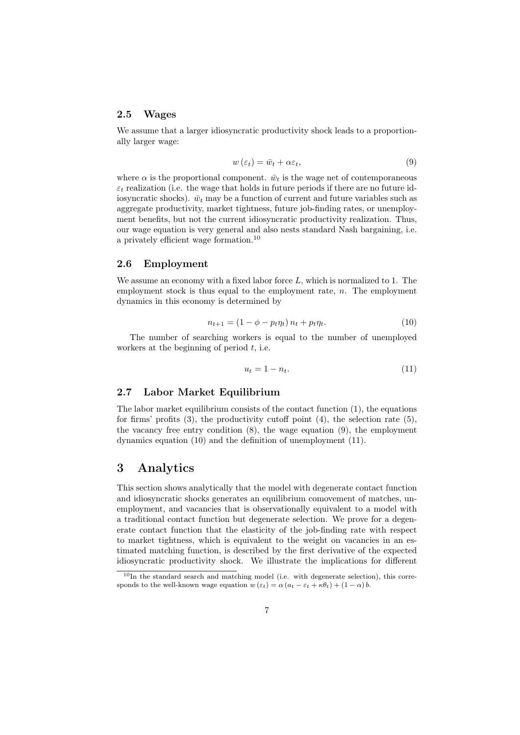#### 2.5 Wages

We assume that a larger idiosyncratic productivity shock leads to a proportionally larger wage:

$$
w(\varepsilon_t) = \bar{w}_t + \alpha \varepsilon_t, \tag{9}
$$

where  $\alpha$  is the proportional component.  $\bar{w}_t$  is the wage net of contemporaneous  $\varepsilon_t$  realization (i.e. the wage that holds in future periods if there are no future idiosyncratic shocks).  $\bar{w}_t$  may be a function of current and future variables such as aggregate productivity, market tightness, future job-finding rates, or unemployment benefits, but not the current idiosyncratic productivity realization. Thus, our wage equation is very general and also nests standard Nash bargaining, i.e. a privately efficient wage formation.<sup>10</sup>

#### 2.6 Employment

We assume an economy with a fixed labor force *L*, which is normalized to 1. The employment stock is thus equal to the employment rate, *n*. The employment dynamics in this economy is determined by

$$
n_{t+1} = (1 - \phi - p_t \eta_t) n_t + p_t \eta_t.
$$
 (10)

The number of searching workers is equal to the number of unemployed workers at the beginning of period *t*, i.e.

$$
u_t = 1 - n_t. \tag{11}
$$

#### 2.7 Labor Market Equilibrium

The labor market equilibrium consists of the contact function  $(1)$ , the equations for firms' profits  $(3)$ , the productivity cutoff point  $(4)$ , the selection rate  $(5)$ , the vacancy free entry condition (8), the wage equation (9), the employment dynamics equation (10) and the definition of unemployment (11).

## 3 Analytics

This section shows analytically that the model with degenerate contact function and idiosyncratic shocks generates an equilibrium comovement of matches, unemployment, and vacancies that is observationally equivalent to a model with a traditional contact function but degenerate selection. We prove for a degenerate contact function that the elasticity of the job-finding rate with respect to market tightness, which is equivalent to the weight on vacancies in an estimated matching function, is described by the first derivative of the expected idiosyncratic productivity shock. We illustrate the implications for different

 $10$ In the standard search and matching model (i.e. with degenerate selection), this corresponds to the well-known wage equation  $w(\varepsilon_t) = \alpha (a_t - \varepsilon_t + \kappa \theta_t) + (1 - \alpha) b$ .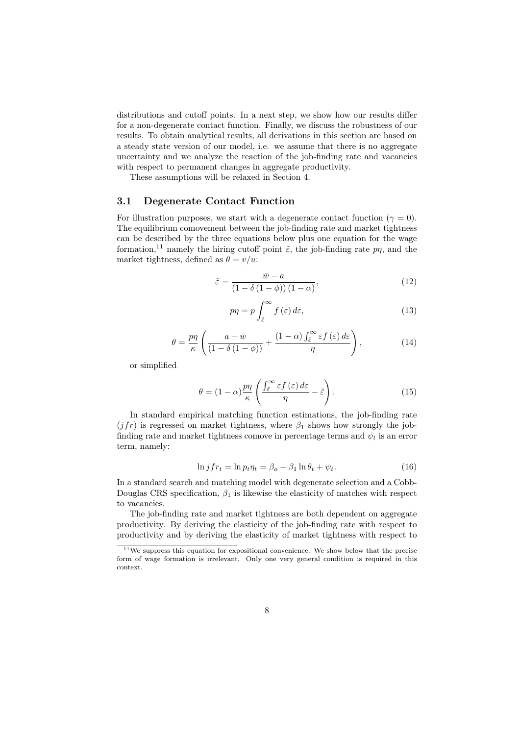distributions and cutoff points. In a next step, we show how our results differ for a non-degenerate contact function. Finally, we discuss the robustness of our results. To obtain analytical results, all derivations in this section are based on a steady state version of our model, i.e. we assume that there is no aggregate uncertainty and we analyze the reaction of the job-finding rate and vacancies with respect to permanent changes in aggregate productivity.

These assumptions will be relaxed in Section 4.

#### 3.1 Degenerate Contact Function

For illustration purposes, we start with a degenerate contact function ( $\gamma = 0$ ). The equilibrium comovement between the job-finding rate and market tightness can be described by the three equations below plus one equation for the wage formation,<sup>11</sup> namely the hiring cutoff point  $\tilde{\varepsilon}$ , the job-finding rate  $p\eta$ , and the market tightness, defined as  $\theta = v/u$ :

$$
\tilde{\varepsilon} = \frac{\bar{w} - a}{\left(1 - \delta\left(1 - \phi\right)\right)\left(1 - \alpha\right)},\tag{12}
$$

$$
p\eta = p \int_{\tilde{\varepsilon}}^{\infty} f(\varepsilon) d\varepsilon, \tag{13}
$$

$$
\theta = \frac{p\eta}{\kappa} \left( \frac{a - \bar{w}}{(1 - \delta(1 - \phi))} + \frac{(1 - \alpha) \int_{\tilde{\varepsilon}}^{\infty} \varepsilon f(\varepsilon) d\varepsilon}{\eta} \right),\tag{14}
$$

or simplified

$$
\theta = (1 - \alpha) \frac{p\eta}{\kappa} \left( \frac{\int_{\tilde{\varepsilon}}^{\infty} \varepsilon f(\varepsilon) d\varepsilon}{\eta} - \tilde{\varepsilon} \right).
$$
 (15)

In standard empirical matching function estimations, the job-finding rate  $(jfr)$  is regressed on market tightness, where  $\beta_1$  shows how strongly the jobfinding rate and market tightness comove in percentage terms and  $\psi_t$  is an error term, namely:

$$
\ln j f r_t = \ln p_t \eta_t = \beta_o + \beta_1 \ln \theta_t + \psi_t. \tag{16}
$$

In a standard search and matching model with degenerate selection and a Cobb-Douglas CRS specification, *β*<sup>1</sup> is likewise the elasticity of matches with respect to vacancies.

The job-finding rate and market tightness are both dependent on aggregate productivity. By deriving the elasticity of the job-finding rate with respect to productivity and by deriving the elasticity of market tightness with respect to

 $11$ We suppress this equation for expositional convenience. We show below that the precise form of wage formation is irrelevant. Only one very general condition is required in this context.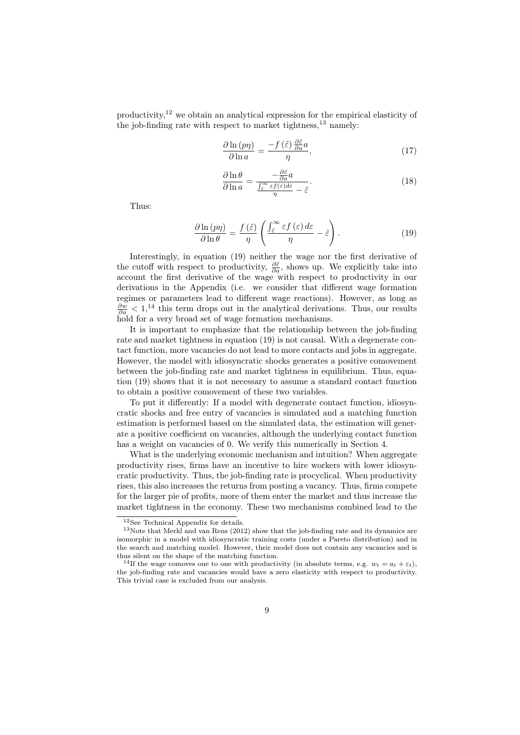productivity,<sup>12</sup> we obtain an analytical expression for the empirical elasticity of the job-finding rate with respect to market tightness, $^{13}$  namely:

$$
\frac{\partial \ln\left(p\eta\right)}{\partial \ln a} = \frac{-f\left(\tilde{\varepsilon}\right)\frac{\partial \tilde{\varepsilon}}{\partial a}a}{\eta},\tag{17}
$$

$$
\frac{\partial \ln \theta}{\partial \ln a} = \frac{-\frac{\partial \tilde{\varepsilon}}{\partial a} a}{\frac{\int_{\tilde{\varepsilon}}^{\infty} \varepsilon f(\varepsilon) d\varepsilon}{\eta} - \tilde{\varepsilon}}.
$$
\n(18)

Thus:

$$
\frac{\partial \ln{(p\eta)}}{\partial \ln{\theta}} = \frac{f(\tilde{\varepsilon})}{\eta} \left( \frac{\int_{\tilde{\varepsilon}}^{\infty} \varepsilon f(\varepsilon) d\varepsilon}{\eta} - \tilde{\varepsilon} \right). \tag{19}
$$

Interestingly, in equation (19) neither the wage nor the first derivative of the cutoff with respect to productivity,  $\frac{\partial \tilde{\varepsilon}}{\partial a}$ , shows up. We explicitly take into account the first derivative of the wage with respect to productivity in our derivations in the Appendix (i.e. we consider that different wage formation regimes or parameters lead to different wage reactions). However, as long as  $\frac{\partial w}{\partial a}$  < 1,<sup>14</sup> this term drops out in the analytical derivations. Thus, our results hold for a very broad set of wage formation mechanisms.

It is important to emphasize that the relationship between the job-finding rate and market tightness in equation (19) is not causal. With a degenerate contact function, more vacancies do not lead to more contacts and jobs in aggregate. However, the model with idiosyncratic shocks generates a positive comovement between the job-finding rate and market tightness in equilibrium. Thus, equation (19) shows that it is not necessary to assume a standard contact function to obtain a positive comovement of these two variables.

To put it differently: If a model with degenerate contact function, idiosyncratic shocks and free entry of vacancies is simulated and a matching function estimation is performed based on the simulated data, the estimation will generate a positive coefficient on vacancies, although the underlying contact function has a weight on vacancies of 0. We verify this numerically in Section 4.

What is the underlying economic mechanism and intuition? When aggregate productivity rises, firms have an incentive to hire workers with lower idiosyncratic productivity. Thus, the job-finding rate is procyclical. When productivity rises, this also increases the returns from posting a vacancy. Thus, firms compete for the larger pie of profits, more of them enter the market and thus increase the market tightness in the economy. These two mechanisms combined lead to the

<sup>12</sup>See Technical Appendix for details.

<sup>13</sup>Note that Merkl and van Rens (2012) show that the job-finding rate and its dynamics are isomorphic in a model with idiosyncratic training costs (under a Pareto distribution) and in the search and matching model. However, their model does not contain any vacancies and is thus silent on the shape of the matching function.

<sup>&</sup>lt;sup>14</sup>If the wage comoves one to one with productivity (in absolute terms, e.g.  $w_t = a_t + \varepsilon_t$ ), the job-finding rate and vacancies would have a zero elasticity with respect to productivity. This trivial case is excluded from our analysis.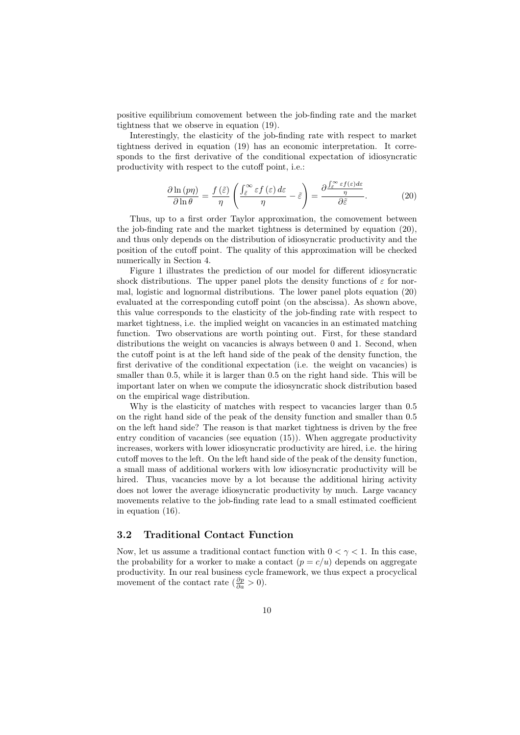positive equilibrium comovement between the job-finding rate and the market tightness that we observe in equation (19).

Interestingly, the elasticity of the job-finding rate with respect to market tightness derived in equation (19) has an economic interpretation. It corresponds to the first derivative of the conditional expectation of idiosyncratic productivity with respect to the cutoff point, i.e.:

$$
\frac{\partial \ln\left(p\eta\right)}{\partial \ln\theta} = \frac{f\left(\tilde{\varepsilon}\right)}{\eta} \left( \frac{\int_{\tilde{\varepsilon}}^{\infty} \varepsilon f\left(\varepsilon\right) d\varepsilon}{\eta} - \tilde{\varepsilon} \right) = \frac{\partial \frac{\int_{\tilde{\varepsilon}}^{\infty} \varepsilon f\left(\varepsilon\right) d\varepsilon}{\eta}}{\partial \tilde{\varepsilon}}.\tag{20}
$$

Thus, up to a first order Taylor approximation, the comovement between the job-finding rate and the market tightness is determined by equation (20), and thus only depends on the distribution of idiosyncratic productivity and the position of the cutoff point. The quality of this approximation will be checked numerically in Section 4.

Figure 1 illustrates the prediction of our model for different idiosyncratic shock distributions. The upper panel plots the density functions of  $\varepsilon$  for normal, logistic and lognormal distributions. The lower panel plots equation (20) evaluated at the corresponding cutoff point (on the abscissa). As shown above, this value corresponds to the elasticity of the job-finding rate with respect to market tightness, i.e. the implied weight on vacancies in an estimated matching function. Two observations are worth pointing out. First, for these standard distributions the weight on vacancies is always between 0 and 1. Second, when the cutoff point is at the left hand side of the peak of the density function, the first derivative of the conditional expectation (i.e. the weight on vacancies) is smaller than 0.5, while it is larger than 0.5 on the right hand side. This will be important later on when we compute the idiosyncratic shock distribution based on the empirical wage distribution.

Why is the elasticity of matches with respect to vacancies larger than 0.5 on the right hand side of the peak of the density function and smaller than 0.5 on the left hand side? The reason is that market tightness is driven by the free entry condition of vacancies (see equation (15)). When aggregate productivity increases, workers with lower idiosyncratic productivity are hired, i.e. the hiring cutoff moves to the left. On the left hand side of the peak of the density function, a small mass of additional workers with low idiosyncratic productivity will be hired. Thus, vacancies move by a lot because the additional hiring activity does not lower the average idiosyncratic productivity by much. Large vacancy movements relative to the job-finding rate lead to a small estimated coefficient in equation (16).

#### 3.2 Traditional Contact Function

Now, let us assume a traditional contact function with  $0 < \gamma < 1$ . In this case, the probability for a worker to make a contact  $(p = c/u)$  depends on aggregate productivity. In our real business cycle framework, we thus expect a procyclical movement of the contact rate  $(\frac{\partial p}{\partial a} > 0)$ .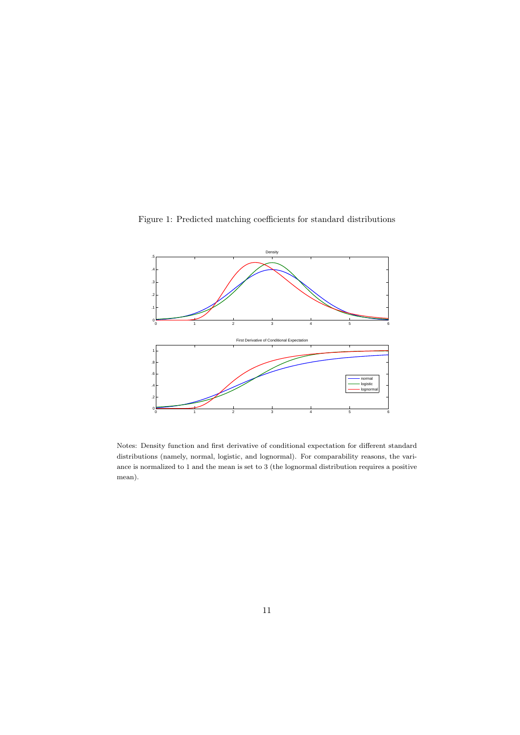Figure 1: Predicted matching coefficients for standard distributions



Notes: Density function and first derivative of conditional expectation for different standard distributions (namely, normal, logistic, and lognormal). For comparability reasons, the variance is normalized to 1 and the mean is set to 3 (the lognormal distribution requires a positive mean).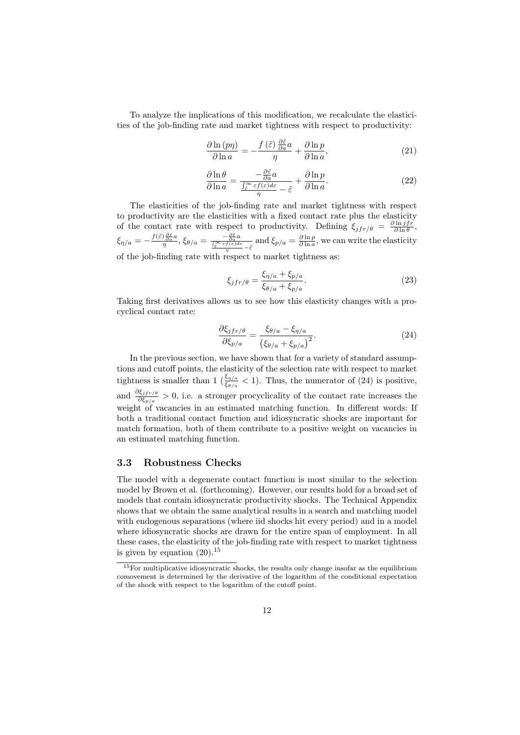To analyze the implications of this modification, we recalculate the elasticities of the job-finding rate and market tightness with respect to productivity:

$$
\frac{\partial \ln\left(p\eta\right)}{\partial \ln a} = -\frac{f\left(\tilde{\varepsilon}\right)\frac{\partial \tilde{\varepsilon}}{\partial a}a}{\eta} + \frac{\partial \ln p}{\partial \ln a},\tag{21}
$$

$$
\frac{\partial \ln \theta}{\partial \ln a} = \frac{-\frac{\partial \tilde{\varepsilon}}{\partial a} a}{\frac{\int_{\tilde{\varepsilon}}^{\infty} \varepsilon f(\varepsilon) d\varepsilon}{\eta} - \tilde{\varepsilon}} + \frac{\partial \ln p}{\partial \ln a}.
$$
\n(22)

The elasticities of the job-finding rate and market tightness with respect to productivity are the elasticities with a fixed contact rate plus the elasticity of the contact rate with respect to productivity. Defining  $\xi_{jfr/\theta} = \frac{\partial \ln jfr}{\partial \ln \theta}$ ,  $\xi_{\eta/a} = -\frac{f(\tilde{\varepsilon})\frac{\partial \tilde{\varepsilon}}{\partial a}a}{\eta}, \xi_{\theta/a} = \frac{-\frac{\partial \tilde{\varepsilon}}{\partial a}a}{\frac{\int \tilde{\varepsilon}^{\infty} \varepsilon f(\varepsilon) d\varepsilon}{\eta} - \tilde{\varepsilon}} \text{ and } \xi_{p/a} = \frac{\partial \ln p}{\partial \ln a}, \text{ we can write the elasticity}$ of the job-finding rate with respect to market tightness as:

$$
\xi_{jfr/\theta} = \frac{\xi_{\eta/a} + \xi_{p/a}}{\xi_{\theta/a} + \xi_{p/a}}.\tag{23}
$$

Taking first derivatives allows us to see how this elasticity changes with a procyclical contact rate:

$$
\frac{\partial \xi_{jfr/\theta}}{\partial \xi_{p/a}} = \frac{\xi_{\theta/a} - \xi_{\eta/a}}{\left(\xi_{\theta/a} + \xi_{p/a}\right)^2}.\tag{24}
$$

In the previous section, we have shown that for a variety of standard assumptions and cutoff points, the elasticity of the selection rate with respect to market tightness is smaller than 1 ( $\frac{\xi_{\eta/a}}{\xi_{\theta/a}} < 1$ ). Thus, the numerator of (24) is positive, and  $\frac{\partial \xi_{jfr,\theta}}{\partial \xi_{p/a}} > 0$ , i.e. a stronger procyclicality of the contact rate increases the weight of vacancies in an estimated matching function. In different words: If both a traditional contact function and idiosyncratic shocks are important for match formation, both of them contribute to a positive weight on vacancies in an estimated matching function.

#### 3.3 Robustness Checks

The model with a degenerate contact function is most similar to the selection model by Brown et al. (forthcoming). However, our results hold for a broad set of models that contain idiosyncratic productivity shocks. The Technical Appendix shows that we obtain the same analytical results in a search and matching model with endogenous separations (where iid shocks hit every period) and in a model where idiosyncratic shocks are drawn for the entire span of employment. In all these cases, the elasticity of the job-finding rate with respect to market tightness is given by equation  $(20).^{15}$ 

<sup>&</sup>lt;sup>15</sup>For multiplicative idiosyncratic shocks, the results only change insofar as the equilibrium comovement is determined by the derivative of the logarithm of the conditional expectation of the shock with respect to the logarithm of the cutoff point.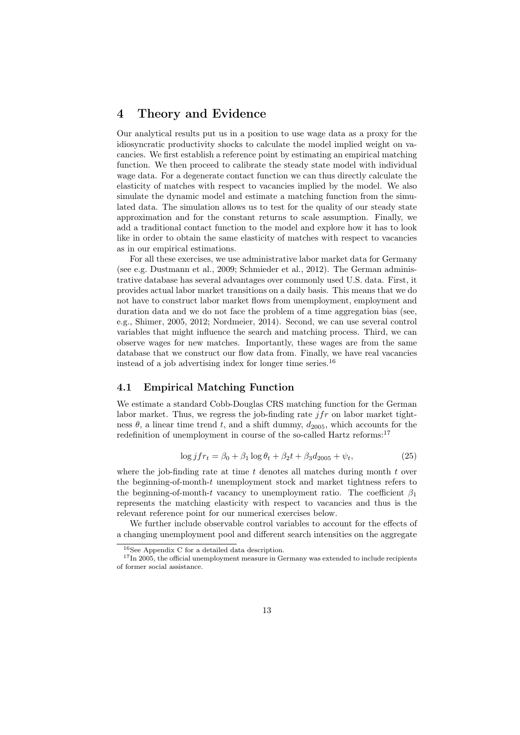## 4 Theory and Evidence

Our analytical results put us in a position to use wage data as a proxy for the idiosyncratic productivity shocks to calculate the model implied weight on vacancies. We first establish a reference point by estimating an empirical matching function. We then proceed to calibrate the steady state model with individual wage data. For a degenerate contact function we can thus directly calculate the elasticity of matches with respect to vacancies implied by the model. We also simulate the dynamic model and estimate a matching function from the simulated data. The simulation allows us to test for the quality of our steady state approximation and for the constant returns to scale assumption. Finally, we add a traditional contact function to the model and explore how it has to look like in order to obtain the same elasticity of matches with respect to vacancies as in our empirical estimations.

For all these exercises, we use administrative labor market data for Germany (see e.g. Dustmann et al., 2009; Schmieder et al., 2012). The German administrative database has several advantages over commonly used U.S. data. First, it provides actual labor market transitions on a daily basis. This means that we do not have to construct labor market flows from unemployment, employment and duration data and we do not face the problem of a time aggregation bias (see, e.g., Shimer, 2005, 2012; Nordmeier, 2014). Second, we can use several control variables that might influence the search and matching process. Third, we can observe wages for new matches. Importantly, these wages are from the same database that we construct our flow data from. Finally, we have real vacancies instead of a job advertising index for longer time series.<sup>16</sup>

#### 4.1 Empirical Matching Function

We estimate a standard Cobb-Douglas CRS matching function for the German labor market. Thus, we regress the job-finding rate *jfr* on labor market tightness  $\theta$ , a linear time trend *t*, and a shift dummy,  $d_{2005}$ , which accounts for the redefinition of unemployment in course of the so-called Hartz reforms:  $^{17}$ 

$$
\log j f r_t = \beta_0 + \beta_1 \log \theta_t + \beta_2 t + \beta_3 d_{2005} + \psi_t,\tag{25}
$$

where the job-finding rate at time *t* denotes all matches during month *t* over the beginning-of-month-*t* unemployment stock and market tightness refers to the beginning-of-month-*t* vacancy to unemployment ratio. The coefficient  $\beta_1$ represents the matching elasticity with respect to vacancies and thus is the relevant reference point for our numerical exercises below.

We further include observable control variables to account for the effects of a changing unemployment pool and different search intensities on the aggregate

<sup>16</sup>See Appendix C for a detailed data description.

 $17$ In 2005, the official unemployment measure in Germany was extended to include recipients of former social assistance.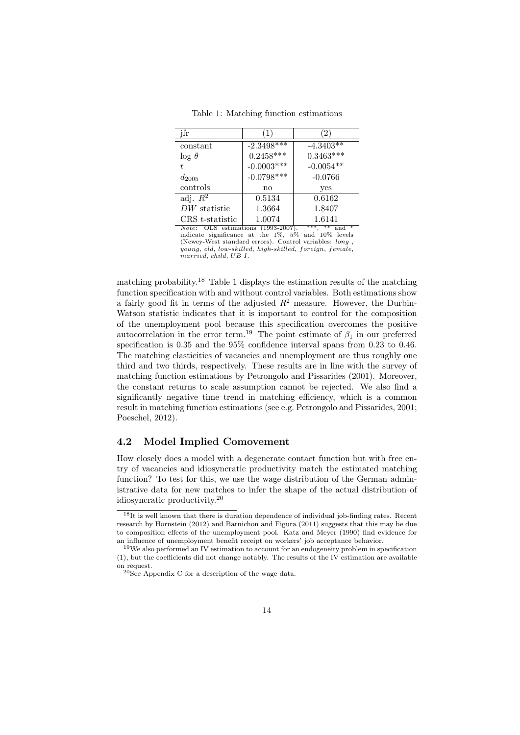| jfr                   |                  | $\overline{2}$   |
|-----------------------|------------------|------------------|
| constant              | $-2.3498***$     | $-4.3403**$      |
| $\log \theta$         | $0.2458^{***}\,$ | $0.3463^{***}\,$ |
|                       | $-0.0003***$     | $-0.0054^{**}$   |
| $d_{2005}$            | $-0.0798***$     | $-0.0766$        |
| controls              | no               | yes              |
| adj. $\overline{R^2}$ | 0.5134           | 0.6162           |
| $DW$ statistic        | 1.3664           | 1.8407           |
| CRS t-statistic       | 1.0074           | 1.6141           |

Table 1: Matching function estimations

Note: OLS estimations (1993-2007). \*\*\*, \*\* and \*<br>indicate significance at the 1%, 5% and 10% levels (Newey-West standard errors). Control variables: *long* , *young*, *old*, *low*-*skilled*, *high*-*skilled*, *foreign*, *f emale*, *married*, *child*, *UB I*.

matching probability.<sup>18</sup> Table 1 displays the estimation results of the matching function specification with and without control variables. Both estimations show a fairly good fit in terms of the adjusted  $R^2$  measure. However, the Durbin-Watson statistic indicates that it is important to control for the composition of the unemployment pool because this specification overcomes the positive autocorrelation in the error term.<sup>19</sup> The point estimate of  $\beta_1$  in our preferred specification is 0.35 and the 95% confidence interval spans from 0.23 to 0.46. The matching elasticities of vacancies and unemployment are thus roughly one third and two thirds, respectively. These results are in line with the survey of matching function estimations by Petrongolo and Pissarides (2001). Moreover, the constant returns to scale assumption cannot be rejected. We also find a significantly negative time trend in matching efficiency, which is a common result in matching function estimations (see e.g. Petrongolo and Pissarides, 2001; Poeschel, 2012).

#### 4.2 Model Implied Comovement

How closely does a model with a degenerate contact function but with free entry of vacancies and idiosyncratic productivity match the estimated matching function? To test for this, we use the wage distribution of the German administrative data for new matches to infer the shape of the actual distribution of idiosyncratic productivity.<sup>20</sup>

<sup>18</sup>It is well known that there is duration dependence of individual job-finding rates. Recent research by Hornstein (2012) and Barnichon and Figura (2011) suggests that this may be due to composition effects of the unemployment pool. Katz and Meyer (1990) find evidence for an influence of unemployment benefit receipt on workers' job acceptance behavior.

<sup>19</sup>We also performed an IV estimation to account for an endogeneity problem in specification (1), but the coefficients did not change notably. The results of the IV estimation are available on request.

 $20$ See Appendix C for a description of the wage data.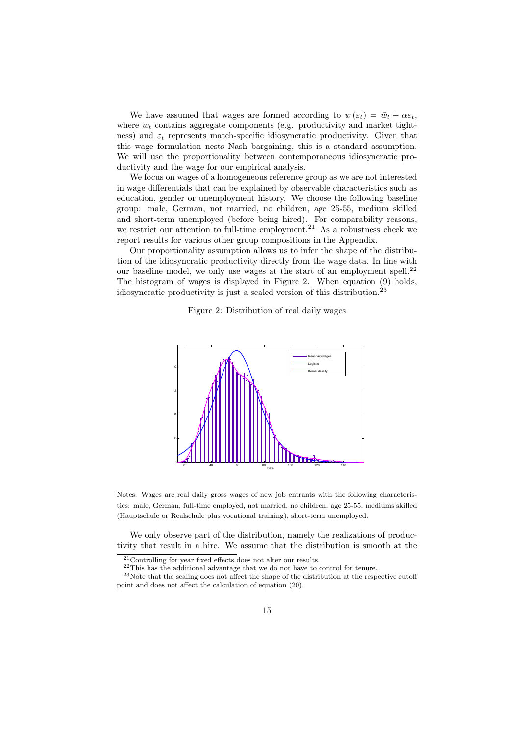We have assumed that wages are formed according to  $w(\varepsilon_t) = \bar{w}_t + \alpha \varepsilon_t$ , where  $\bar{w}_t$  contains aggregate components (e.g. productivity and market tightness) and  $\varepsilon_t$  represents match-specific idiosyncratic productivity. Given that this wage formulation nests Nash bargaining, this is a standard assumption. We will use the proportionality between contemporaneous idiosyncratic productivity and the wage for our empirical analysis.

We focus on wages of a homogeneous reference group as we are not interested in wage differentials that can be explained by observable characteristics such as education, gender or unemployment history. We choose the following baseline group: male, German, not married, no children, age 25-55, medium skilled and short-term unemployed (before being hired). For comparability reasons, we restrict our attention to full-time employment.<sup>21</sup> As a robustness check we report results for various other group compositions in the Appendix.

Our proportionality assumption allows us to infer the shape of the distribution of the idiosyncratic productivity directly from the wage data. In line with our baseline model, we only use wages at the start of an employment spell.<sup>22</sup> The histogram of wages is displayed in Figure 2. When equation (9) holds, idiosyncratic productivity is just a scaled version of this distribution.<sup>23</sup>

Figure 2: Distribution of real daily wages



Notes: Wages are real daily gross wages of new job entrants with the following characteristics: male, German, full-time employed, not married, no children, age 25-55, mediums skilled (Hauptschule or Realschule plus vocational training), short-term unemployed.

We only observe part of the distribution, namely the realizations of productivity that result in a hire. We assume that the distribution is smooth at the

<sup>22</sup>This has the additional advantage that we do not have to control for tenure.

 $\rm ^{21}Controlling$  for year fixed effects does not alter our results.

 $23$ Note that the scaling does not affect the shape of the distribution at the respective cutoff point and does not affect the calculation of equation (20).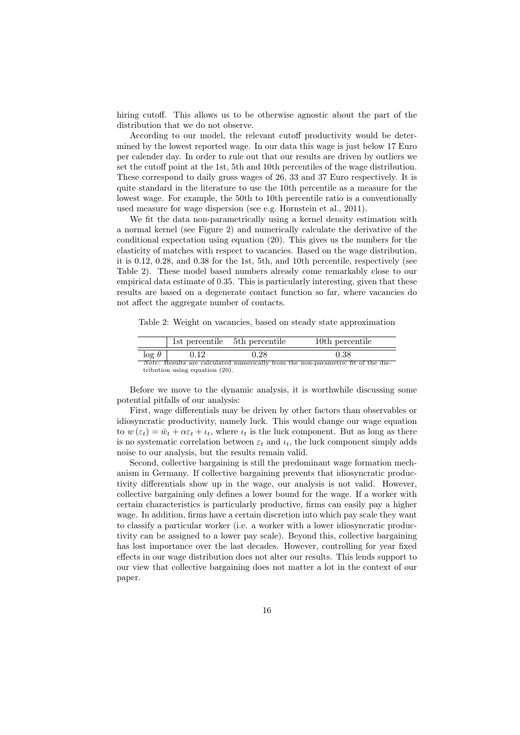hiring cutoff. This allows us to be otherwise agnostic about the part of the distribution that we do not observe.

According to our model, the relevant cutoff productivity would be determined by the lowest reported wage. In our data this wage is just below 17 Euro per calender day. In order to rule out that our results are driven by outliers we set the cutoff point at the 1st, 5th and 10th percentiles of the wage distribution. These correspond to daily gross wages of 26, 33 and 37 Euro respectively. It is quite standard in the literature to use the 10th percentile as a measure for the lowest wage. For example, the 50th to 10th percentile ratio is a conventionally used measure for wage dispersion (see e.g. Hornstein et al., 2011).

We fit the data non-parametrically using a kernel density estimation with a normal kernel (see Figure 2) and numerically calculate the derivative of the conditional expectation using equation (20). This gives us the numbers for the elasticity of matches with respect to vacancies. Based on the wage distribution, it is 0.12, 0.28, and 0.38 for the 1st, 5th, and 10th percentile, respectively (see Table 2). These model based numbers already come remarkably close to our empirical data estimate of 0.35. This is particularly interesting, given that these results are based on a degenerate contact function so far, where vacancies do not affect the aggregate number of contacts.

Table 2: Weight on vacancies, based on steady state approximation

|                                   | 1st percentile 5th percentile |      | 10th percentile                                                                         |
|-----------------------------------|-------------------------------|------|-----------------------------------------------------------------------------------------|
| $\log \theta$                     | 0.12                          | 0.28 | 0.38                                                                                    |
|                                   |                               |      | <i>Note:</i> Results are calculated numerically from the non-parametric fit of the dis- |
| tribution using equation $(20)$ . |                               |      |                                                                                         |

Before we move to the dynamic analysis, it is worthwhile discussing some potential pitfalls of our analysis:

First, wage differentials may be driven by other factors than observables or idiosyncratic productivity, namely luck. This would change our wage equation to  $w(\varepsilon_t) = \bar{w}_t + \alpha \varepsilon_t + \iota_t$ , where  $\iota_t$  is the luck component. But as long as there is no systematic correlation between  $\varepsilon_t$  and  $\iota_t$ , the luck component simply adds noise to our analysis, but the results remain valid.

Second, collective bargaining is still the predominant wage formation mechanism in Germany. If collective bargaining prevents that idiosyncratic productivity differentials show up in the wage, our analysis is not valid. However, collective bargaining only defines a lower bound for the wage. If a worker with certain characteristics is particularly productive, firms can easily pay a higher wage. In addition, firms have a certain discretion into which pay scale they want to classify a particular worker (i.e. a worker with a lower idiosyncratic productivity can be assigned to a lower pay scale). Beyond this, collective bargaining has lost importance over the last decades. However, controlling for year fixed effects in our wage distribution does not alter our results. This lends support to our view that collective bargaining does not matter a lot in the context of our paper.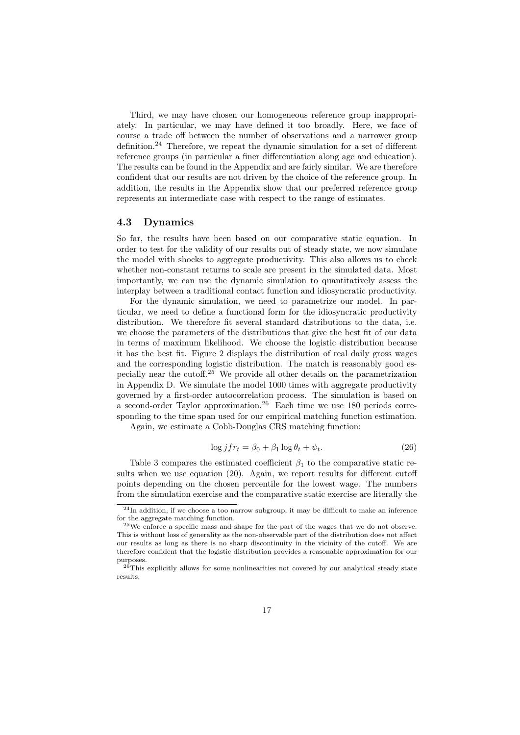Third, we may have chosen our homogeneous reference group inappropriately. In particular, we may have defined it too broadly. Here, we face of course a trade off between the number of observations and a narrower group definition.<sup>24</sup> Therefore, we repeat the dynamic simulation for a set of different reference groups (in particular a finer differentiation along age and education). The results can be found in the Appendix and are fairly similar. We are therefore confident that our results are not driven by the choice of the reference group. In addition, the results in the Appendix show that our preferred reference group represents an intermediate case with respect to the range of estimates.

#### 4.3 Dynamics

So far, the results have been based on our comparative static equation. In order to test for the validity of our results out of steady state, we now simulate the model with shocks to aggregate productivity. This also allows us to check whether non-constant returns to scale are present in the simulated data. Most importantly, we can use the dynamic simulation to quantitatively assess the interplay between a traditional contact function and idiosyncratic productivity.

For the dynamic simulation, we need to parametrize our model. In particular, we need to define a functional form for the idiosyncratic productivity distribution. We therefore fit several standard distributions to the data, i.e. we choose the parameters of the distributions that give the best fit of our data in terms of maximum likelihood. We choose the logistic distribution because it has the best fit. Figure 2 displays the distribution of real daily gross wages and the corresponding logistic distribution. The match is reasonably good especially near the cutoff.<sup>25</sup> We provide all other details on the parametrization in Appendix D. We simulate the model 1000 times with aggregate productivity governed by a first-order autocorrelation process. The simulation is based on a second-order Taylor approximation.<sup>26</sup> Each time we use 180 periods corresponding to the time span used for our empirical matching function estimation.

Again, we estimate a Cobb-Douglas CRS matching function:

$$
\log j f r_t = \beta_0 + \beta_1 \log \theta_t + \psi_t. \tag{26}
$$

Table 3 compares the estimated coefficient  $\beta_1$  to the comparative static results when we use equation (20). Again, we report results for different cutoff points depending on the chosen percentile for the lowest wage. The numbers from the simulation exercise and the comparative static exercise are literally the

 $^{24}$ In addition, if we choose a too narrow subgroup, it may be difficult to make an inference for the aggregate matching function.

<sup>25</sup>We enforce a specific mass and shape for the part of the wages that we do not observe. This is without loss of generality as the non-observable part of the distribution does not affect our results as long as there is no sharp discontinuity in the vicinity of the cutoff. We are therefore confident that the logistic distribution provides a reasonable approximation for our purposes.

 $26$ This explicitly allows for some nonlinearities not covered by our analytical steady state results.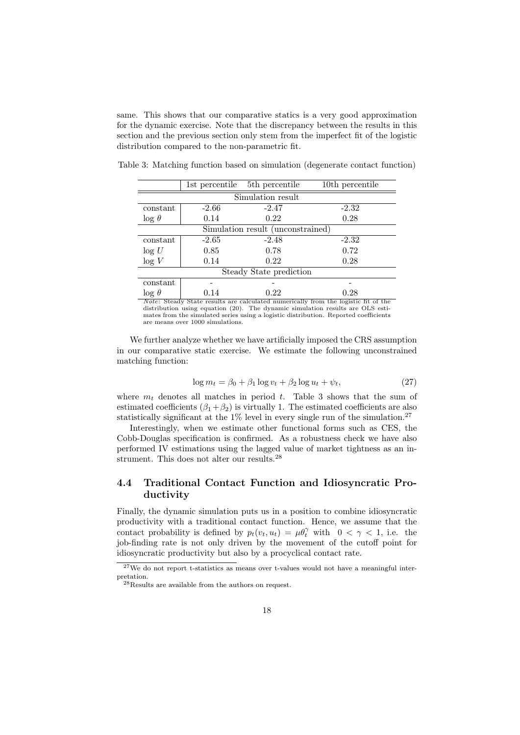same. This shows that our comparative statics is a very good approximation for the dynamic exercise. Note that the discrepancy between the results in this section and the previous section only stem from the imperfect fit of the logistic distribution compared to the non-parametric fit.

1st percentile 5th percentile 10th percentile Simulation result  $\text{constant}$  -2.66 -2.47 -2.32  $\log \theta$  0.14 0.22 0.28 Simulation result (unconstrained)  $\frac{1}{2.65}$  -2.48 -2.32  $\log U$  0.85 0.78 0.72  $log V$  0.14 0.22 0.28 Steady State prediction constant - - -  $\log \theta$  0.14 0.22 0.28

Table 3: Matching function based on simulation (degenerate contact function)

*Note*: Steady State results are calculated numerically from the logistic fit of the distribution using equation (20). The dynamic simulation results are OLS estimates from the simulated series using a logistic distribution. Reported coefficients are means over 1000 simulations.

We further analyze whether we have artificially imposed the CRS assumption in our comparative static exercise. We estimate the following unconstrained matching function:

$$
\log m_t = \beta_0 + \beta_1 \log v_t + \beta_2 \log u_t + \psi_t,\tag{27}
$$

where  $m_t$  denotes all matches in period  $t$ . Table 3 shows that the sum of estimated coefficients  $(\beta_1 + \beta_2)$  is virtually 1. The estimated coefficients are also statistically significant at the  $1\%$  level in every single run of the simulation.<sup>27</sup>

Interestingly, when we estimate other functional forms such as CES, the Cobb-Douglas specification is confirmed. As a robustness check we have also performed IV estimations using the lagged value of market tightness as an instrument. This does not alter our results.<sup>28</sup>

### 4.4 Traditional Contact Function and Idiosyncratic Productivity

Finally, the dynamic simulation puts us in a position to combine idiosyncratic productivity with a traditional contact function. Hence, we assume that the contact probability is defined by  $p_t(v_t, u_t) = \mu \theta_t^{\gamma}$  with  $0 < \gamma < 1$ , i.e. the job-finding rate is not only driven by the movement of the cutoff point for idiosyncratic productivity but also by a procyclical contact rate.

<sup>&</sup>lt;sup>27</sup>We do not report t-statistics as means over t-values would not have a meaningful interpretation.

<sup>28</sup>Results are available from the authors on request.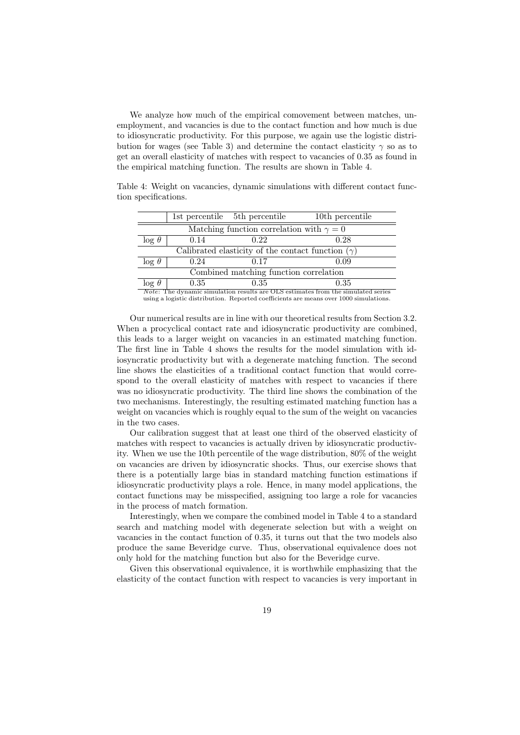We analyze how much of the empirical comovement between matches, unemployment, and vacancies is due to the contact function and how much is due to idiosyncratic productivity. For this purpose, we again use the logistic distribution for wages (see Table 3) and determine the contact elasticity  $\gamma$  so as to get an overall elasticity of matches with respect to vacancies of 0.35 as found in the empirical matching function. The results are shown in Table 4.

Table 4: Weight on vacancies, dynamic simulations with different contact function specifications.

|                                                                                                      |      | 1st percentile 5th percentile | 10th percentile |  |
|------------------------------------------------------------------------------------------------------|------|-------------------------------|-----------------|--|
| Matching function correlation with $\gamma = 0$                                                      |      |                               |                 |  |
| $\log \theta$                                                                                        | 0.14 | 0.22                          | 0.28            |  |
| Calibrated elasticity of the contact function $(\gamma)$                                             |      |                               |                 |  |
| $\log \theta$                                                                                        | 0.24 | 0.17                          | 0.09            |  |
| Combined matching function correlation                                                               |      |                               |                 |  |
| $\log \theta$                                                                                        | 0.35 | 0.35                          | 0.35            |  |
| <i>Note:</i> The dynamic simulation results are $\overline{OLS}$ estimates from the simulated series |      |                               |                 |  |

*Note*: The dynamic simulation results are OLS estimates from the simulated series using a logistic distribution. Reported coefficients are means over 1000 simulations.

Our numerical results are in line with our theoretical results from Section 3.2. When a procyclical contact rate and idiosyncratic productivity are combined. this leads to a larger weight on vacancies in an estimated matching function. The first line in Table 4 shows the results for the model simulation with idiosyncratic productivity but with a degenerate matching function. The second line shows the elasticities of a traditional contact function that would correspond to the overall elasticity of matches with respect to vacancies if there was no idiosyncratic productivity. The third line shows the combination of the two mechanisms. Interestingly, the resulting estimated matching function has a weight on vacancies which is roughly equal to the sum of the weight on vacancies in the two cases.

Our calibration suggest that at least one third of the observed elasticity of matches with respect to vacancies is actually driven by idiosyncratic productivity. When we use the 10th percentile of the wage distribution, 80% of the weight on vacancies are driven by idiosyncratic shocks. Thus, our exercise shows that there is a potentially large bias in standard matching function estimations if idiosyncratic productivity plays a role. Hence, in many model applications, the contact functions may be misspecified, assigning too large a role for vacancies in the process of match formation.

Interestingly, when we compare the combined model in Table 4 to a standard search and matching model with degenerate selection but with a weight on vacancies in the contact function of 0*.*35, it turns out that the two models also produce the same Beveridge curve. Thus, observational equivalence does not only hold for the matching function but also for the Beveridge curve.

Given this observational equivalence, it is worthwhile emphasizing that the elasticity of the contact function with respect to vacancies is very important in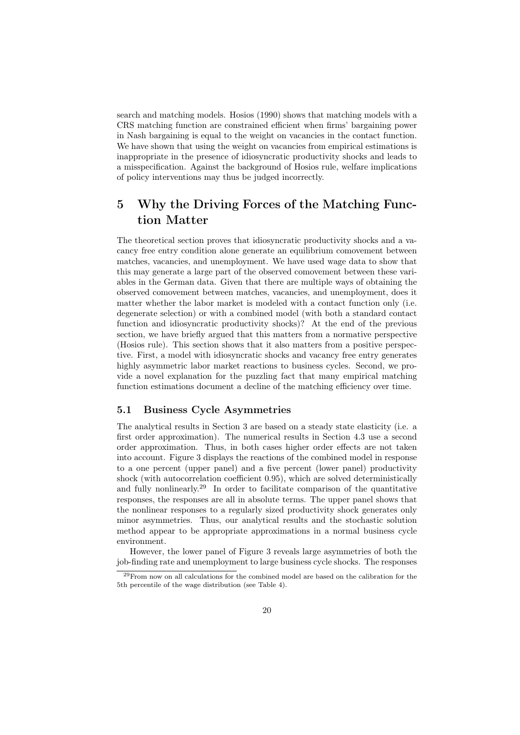search and matching models. Hosios (1990) shows that matching models with a CRS matching function are constrained efficient when firms' bargaining power in Nash bargaining is equal to the weight on vacancies in the contact function. We have shown that using the weight on vacancies from empirical estimations is inappropriate in the presence of idiosyncratic productivity shocks and leads to a misspecification. Against the background of Hosios rule, welfare implications of policy interventions may thus be judged incorrectly.

## 5 Why the Driving Forces of the Matching Function Matter

The theoretical section proves that idiosyncratic productivity shocks and a vacancy free entry condition alone generate an equilibrium comovement between matches, vacancies, and unemployment. We have used wage data to show that this may generate a large part of the observed comovement between these variables in the German data. Given that there are multiple ways of obtaining the observed comovement between matches, vacancies, and unemployment, does it matter whether the labor market is modeled with a contact function only (i.e. degenerate selection) or with a combined model (with both a standard contact function and idiosyncratic productivity shocks)? At the end of the previous section, we have briefly argued that this matters from a normative perspective (Hosios rule). This section shows that it also matters from a positive perspective. First, a model with idiosyncratic shocks and vacancy free entry generates highly asymmetric labor market reactions to business cycles. Second, we provide a novel explanation for the puzzling fact that many empirical matching function estimations document a decline of the matching efficiency over time.

#### 5.1 Business Cycle Asymmetries

The analytical results in Section 3 are based on a steady state elasticity (i.e. a first order approximation). The numerical results in Section 4.3 use a second order approximation. Thus, in both cases higher order effects are not taken into account. Figure 3 displays the reactions of the combined model in response to a one percent (upper panel) and a five percent (lower panel) productivity shock (with autocorrelation coefficient 0*.*95), which are solved deterministically and fully nonlinearly.<sup>29</sup> In order to facilitate comparison of the quantitative responses, the responses are all in absolute terms. The upper panel shows that the nonlinear responses to a regularly sized productivity shock generates only minor asymmetries. Thus, our analytical results and the stochastic solution method appear to be appropriate approximations in a normal business cycle environment.

However, the lower panel of Figure 3 reveals large asymmetries of both the job-finding rate and unemployment to large business cycle shocks. The responses

 $29$  From now on all calculations for the combined model are based on the calibration for the 5th percentile of the wage distribution (see Table 4).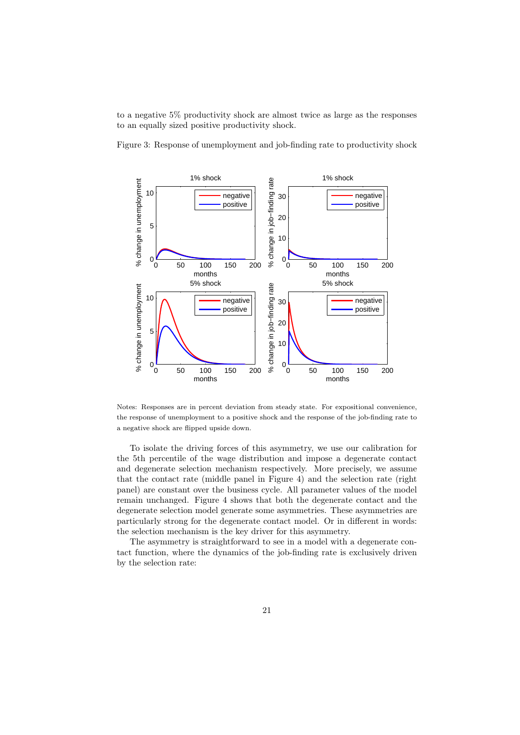to a negative 5% productivity shock are almost twice as large as the responses to an equally sized positive productivity shock.

Figure 3: Response of unemployment and job-finding rate to productivity shock



Notes: Responses are in percent deviation from steady state. For expositional convenience, the response of unemployment to a positive shock and the response of the job-finding rate to a negative shock are flipped upside down.

To isolate the driving forces of this asymmetry, we use our calibration for the 5th percentile of the wage distribution and impose a degenerate contact and degenerate selection mechanism respectively. More precisely, we assume that the contact rate (middle panel in Figure 4) and the selection rate (right panel) are constant over the business cycle. All parameter values of the model remain unchanged. Figure 4 shows that both the degenerate contact and the degenerate selection model generate some asymmetries. These asymmetries are particularly strong for the degenerate contact model. Or in different in words: the selection mechanism is the key driver for this asymmetry.

The asymmetry is straightforward to see in a model with a degenerate contact function, where the dynamics of the job-finding rate is exclusively driven by the selection rate: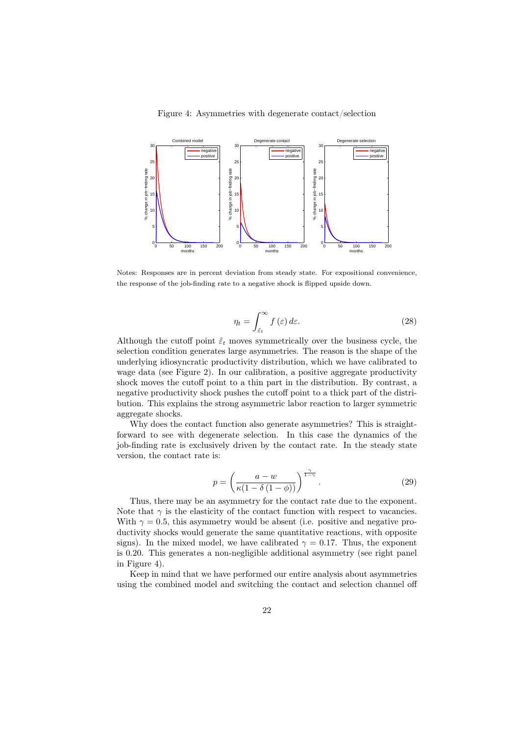#### Figure 4: Asymmetries with degenerate contact/selection



Notes: Responses are in percent deviation from steady state. For expositional convenience, the response of the job-finding rate to a negative shock is flipped upside down.

$$
\eta_t = \int_{\tilde{\varepsilon}_t}^{\infty} f(\varepsilon) \, d\varepsilon. \tag{28}
$$

Although the cutoff point  $\tilde{\varepsilon}$ <sub>*t*</sub> moves symmetrically over the business cycle, the selection condition generates large asymmetries. The reason is the shape of the underlying idiosyncratic productivity distribution, which we have calibrated to wage data (see Figure 2). In our calibration, a positive aggregate productivity shock moves the cutoff point to a thin part in the distribution. By contrast, a negative productivity shock pushes the cutoff point to a thick part of the distribution. This explains the strong asymmetric labor reaction to larger symmetric aggregate shocks.

Why does the contact function also generate asymmetries? This is straightforward to see with degenerate selection. In this case the dynamics of the job-finding rate is exclusively driven by the contact rate. In the steady state version, the contact rate is:

$$
p = \left(\frac{a - w}{\kappa(1 - \delta(1 - \phi))}\right)^{\frac{\gamma}{1 - \gamma}}.\tag{29}
$$

Thus, there may be an asymmetry for the contact rate due to the exponent. Note that  $\gamma$  is the elasticity of the contact function with respect to vacancies. With  $\gamma = 0.5$ , this asymmetry would be absent (i.e. positive and negative productivity shocks would generate the same quantitative reactions, with opposite signs). In the mixed model, we have calibrated  $\gamma = 0.17$ . Thus, the exponent is 0*.*20. This generates a non-negligible additional asymmetry (see right panel in Figure 4).

Keep in mind that we have performed our entire analysis about asymmetries using the combined model and switching the contact and selection channel off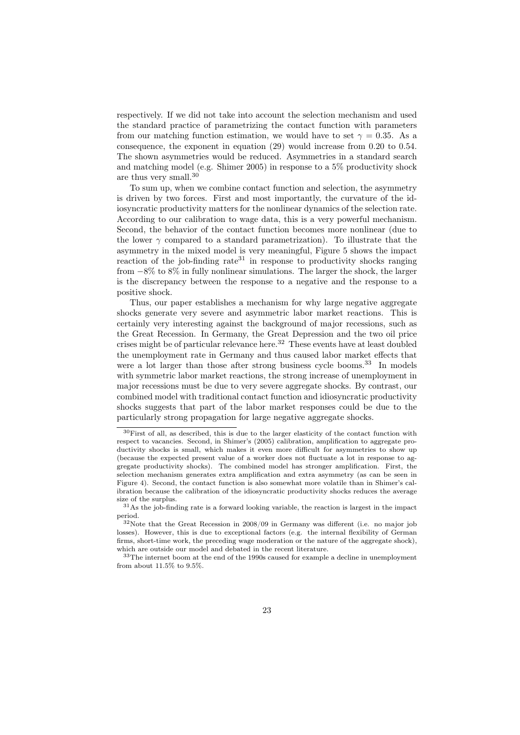respectively. If we did not take into account the selection mechanism and used the standard practice of parametrizing the contact function with parameters from our matching function estimation, we would have to set  $\gamma = 0.35$ . As a consequence, the exponent in equation (29) would increase from 0*.*20 to 0*.*54. The shown asymmetries would be reduced. Asymmetries in a standard search and matching model (e.g. Shimer 2005) in response to a 5% productivity shock are thus very small.<sup>30</sup>

To sum up, when we combine contact function and selection, the asymmetry is driven by two forces. First and most importantly, the curvature of the idiosyncratic productivity matters for the nonlinear dynamics of the selection rate. According to our calibration to wage data, this is a very powerful mechanism. Second, the behavior of the contact function becomes more nonlinear (due to the lower  $\gamma$  compared to a standard parametrization). To illustrate that the asymmetry in the mixed model is very meaningful, Figure 5 shows the impact reaction of the job-finding rate<sup>31</sup> in response to productivity shocks ranging from *−*8% to 8% in fully nonlinear simulations. The larger the shock, the larger is the discrepancy between the response to a negative and the response to a positive shock.

Thus, our paper establishes a mechanism for why large negative aggregate shocks generate very severe and asymmetric labor market reactions. This is certainly very interesting against the background of major recessions, such as the Great Recession. In Germany, the Great Depression and the two oil price crises might be of particular relevance here.<sup>32</sup> These events have at least doubled the unemployment rate in Germany and thus caused labor market effects that were a lot larger than those after strong business cycle booms.<sup>33</sup> In models with symmetric labor market reactions, the strong increase of unemployment in major recessions must be due to very severe aggregate shocks. By contrast, our combined model with traditional contact function and idiosyncratic productivity shocks suggests that part of the labor market responses could be due to the particularly strong propagation for large negative aggregate shocks.

<sup>30</sup>First of all, as described, this is due to the larger elasticity of the contact function with respect to vacancies. Second, in Shimer's (2005) calibration, amplification to aggregate productivity shocks is small, which makes it even more difficult for asymmetries to show up (because the expected present value of a worker does not fluctuate a lot in response to aggregate productivity shocks). The combined model has stronger amplification. First, the selection mechanism generates extra amplification and extra asymmetry (as can be seen in Figure 4). Second, the contact function is also somewhat more volatile than in Shimer's calibration because the calibration of the idiosyncratic productivity shocks reduces the average size of the surplus.

 $31\text{As}$  the job-finding rate is a forward looking variable, the reaction is largest in the impact period.

 $32$ Note that the Great Recession in 2008/09 in Germany was different (i.e. no major job losses). However, this is due to exceptional factors (e.g. the internal flexibility of German firms, short-time work, the preceding wage moderation or the nature of the aggregate shock), which are outside our model and debated in the recent literature.

 $^{33}\mathrm{The}$  internet boom at the end of the 1990s caused for example a decline in unemployment from about 11.5% to 9.5%.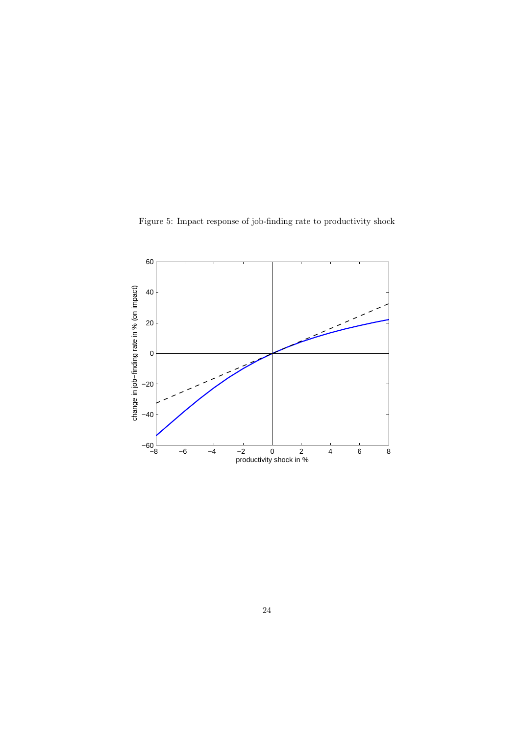Figure 5: Impact response of job-finding rate to productivity shock

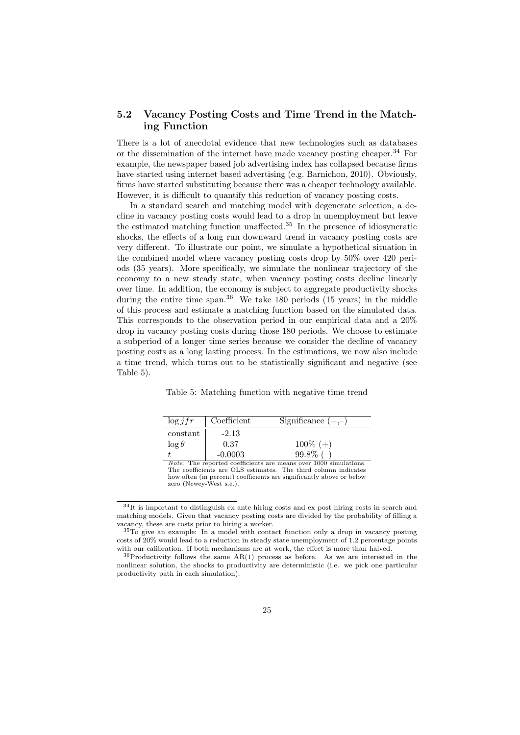### 5.2 Vacancy Posting Costs and Time Trend in the Matching Function

There is a lot of anecdotal evidence that new technologies such as databases or the dissemination of the internet have made vacancy posting cheaper.<sup>34</sup> For example, the newspaper based job advertising index has collapsed because firms have started using internet based advertising (e.g. Barnichon, 2010). Obviously, firms have started substituting because there was a cheaper technology available. However, it is difficult to quantify this reduction of vacancy posting costs.

In a standard search and matching model with degenerate selection, a decline in vacancy posting costs would lead to a drop in unemployment but leave the estimated matching function unaffected.<sup>35</sup> In the presence of idiosyncratic shocks, the effects of a long run downward trend in vacancy posting costs are very different. To illustrate our point, we simulate a hypothetical situation in the combined model where vacancy posting costs drop by 50% over 420 periods (35 years). More specifically, we simulate the nonlinear trajectory of the economy to a new steady state, when vacancy posting costs decline linearly over time. In addition, the economy is subject to aggregate productivity shocks during the entire time span. $36$  We take 180 periods (15 years) in the middle of this process and estimate a matching function based on the simulated data. This corresponds to the observation period in our empirical data and a 20% drop in vacancy posting costs during those 180 periods. We choose to estimate a subperiod of a longer time series because we consider the decline of vacancy posting costs as a long lasting process. In the estimations, we now also include a time trend, which turns out to be statistically significant and negative (see Table 5).

| $\log jfr$                                                              | Coefficient | Significance $(+,-)$ |  |
|-------------------------------------------------------------------------|-------------|----------------------|--|
| constant                                                                | $-2.13$     |                      |  |
| $\log \theta$                                                           | 0.37        | $100\% (+)$          |  |
|                                                                         | $-0.0003$   | $99.8\%$ (-)         |  |
| <i>Note:</i> The reported coefficients are means over 1000 simulations. |             |                      |  |

Table 5: Matching function with negative time trend

The coefficients are OLS estimates. The third column indicates how often (in percent) coefficients are significantly above or below zero (Newey-West s.e.).

<sup>34</sup>It is important to distinguish ex ante hiring costs and ex post hiring costs in search and matching models. Given that vacancy posting costs are divided by the probability of filling a vacancy, these are costs prior to hiring a worker.

<sup>35</sup>To give an example: In a model with contact function only a drop in vacancy posting costs of 20% would lead to a reduction in steady state unemployment of 1.2 percentage points with our calibration. If both mechanisms are at work, the effect is more than halved.

<sup>36</sup>Productivity follows the same AR(1) process as before. As we are interested in the nonlinear solution, the shocks to productivity are deterministic (i.e. we pick one particular productivity path in each simulation).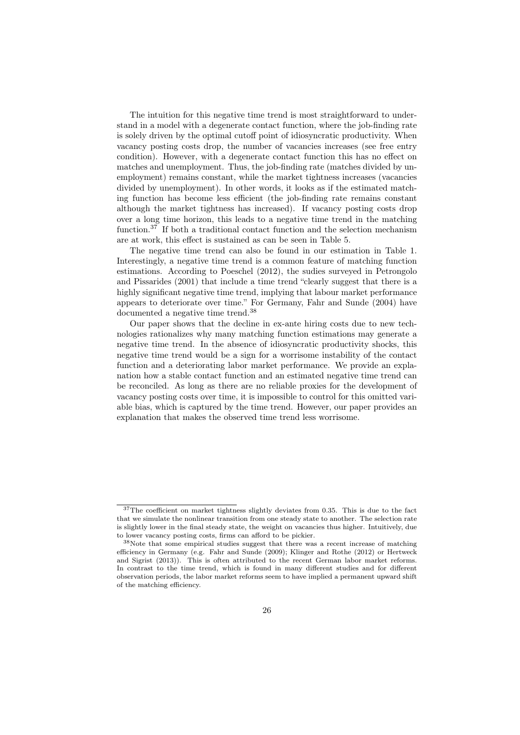The intuition for this negative time trend is most straightforward to understand in a model with a degenerate contact function, where the job-finding rate is solely driven by the optimal cutoff point of idiosyncratic productivity. When vacancy posting costs drop, the number of vacancies increases (see free entry condition). However, with a degenerate contact function this has no effect on matches and unemployment. Thus, the job-finding rate (matches divided by unemployment) remains constant, while the market tightness increases (vacancies divided by unemployment). In other words, it looks as if the estimated matching function has become less efficient (the job-finding rate remains constant although the market tightness has increased). If vacancy posting costs drop over a long time horizon, this leads to a negative time trend in the matching function.<sup>37</sup> If both a traditional contact function and the selection mechanism are at work, this effect is sustained as can be seen in Table 5.

The negative time trend can also be found in our estimation in Table 1. Interestingly, a negative time trend is a common feature of matching function estimations. According to Poeschel (2012), the sudies surveyed in Petrongolo and Pissarides (2001) that include a time trend "clearly suggest that there is a highly significant negative time trend, implying that labour market performance appears to deteriorate over time." For Germany, Fahr and Sunde (2004) have documented a negative time trend.<sup>38</sup>

Our paper shows that the decline in ex-ante hiring costs due to new technologies rationalizes why many matching function estimations may generate a negative time trend. In the absence of idiosyncratic productivity shocks, this negative time trend would be a sign for a worrisome instability of the contact function and a deteriorating labor market performance. We provide an explanation how a stable contact function and an estimated negative time trend can be reconciled. As long as there are no reliable proxies for the development of vacancy posting costs over time, it is impossible to control for this omitted variable bias, which is captured by the time trend. However, our paper provides an explanation that makes the observed time trend less worrisome.

<sup>37</sup>The coefficient on market tightness slightly deviates from 0.35. This is due to the fact that we simulate the nonlinear transition from one steady state to another. The selection rate is slightly lower in the final steady state, the weight on vacancies thus higher. Intuitively, due to lower vacancy posting costs, firms can afford to be pickier.

<sup>38</sup>Note that some empirical studies suggest that there was a recent increase of matching efficiency in Germany (e.g. Fahr and Sunde (2009); Klinger and Rothe (2012) or Hertweck and Sigrist (2013)). This is often attributed to the recent German labor market reforms. In contrast to the time trend, which is found in many different studies and for different observation periods, the labor market reforms seem to have implied a permanent upward shift of the matching efficiency.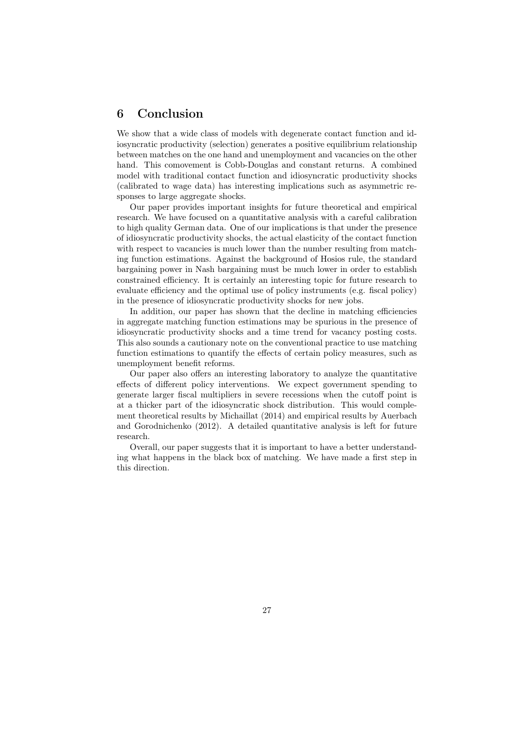## 6 Conclusion

We show that a wide class of models with degenerate contact function and idiosyncratic productivity (selection) generates a positive equilibrium relationship between matches on the one hand and unemployment and vacancies on the other hand. This comovement is Cobb-Douglas and constant returns. A combined model with traditional contact function and idiosyncratic productivity shocks (calibrated to wage data) has interesting implications such as asymmetric responses to large aggregate shocks.

Our paper provides important insights for future theoretical and empirical research. We have focused on a quantitative analysis with a careful calibration to high quality German data. One of our implications is that under the presence of idiosyncratic productivity shocks, the actual elasticity of the contact function with respect to vacancies is much lower than the number resulting from matching function estimations. Against the background of Hosios rule, the standard bargaining power in Nash bargaining must be much lower in order to establish constrained efficiency. It is certainly an interesting topic for future research to evaluate efficiency and the optimal use of policy instruments (e.g. fiscal policy) in the presence of idiosyncratic productivity shocks for new jobs.

In addition, our paper has shown that the decline in matching efficiencies in aggregate matching function estimations may be spurious in the presence of idiosyncratic productivity shocks and a time trend for vacancy posting costs. This also sounds a cautionary note on the conventional practice to use matching function estimations to quantify the effects of certain policy measures, such as unemployment benefit reforms.

Our paper also offers an interesting laboratory to analyze the quantitative effects of different policy interventions. We expect government spending to generate larger fiscal multipliers in severe recessions when the cutoff point is at a thicker part of the idiosyncratic shock distribution. This would complement theoretical results by Michaillat (2014) and empirical results by Auerbach and Gorodnichenko (2012). A detailed quantitative analysis is left for future research.

Overall, our paper suggests that it is important to have a better understanding what happens in the black box of matching. We have made a first step in this direction.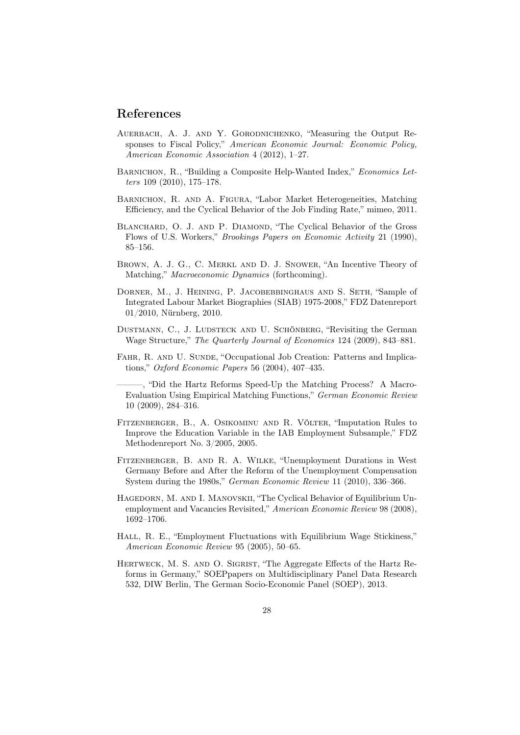## References

- Auerbach, A. J. and Y. Gorodnichenko, "Measuring the Output Responses to Fiscal Policy," *American Economic Journal: Economic Policy, American Economic Association* 4 (2012), 1–27.
- BARNICHON, R., "Building a Composite Help-Wanted Index," *Economics Letters* 109 (2010), 175–178.
- Barnichon, R. and A. Figura, "Labor Market Heterogeneities, Matching Efficiency, and the Cyclical Behavior of the Job Finding Rate," mimeo, 2011.
- BLANCHARD, O. J. AND P. DIAMOND, "The Cyclical Behavior of the Gross Flows of U.S. Workers," *Brookings Papers on Economic Activity* 21 (1990), 85–156.
- Brown, A. J. G., C. Merkl and D. J. Snower, "An Incentive Theory of Matching," *Macroeconomic Dynamics* (forthcoming).
- DORNER, M., J. HEINING, P. JACOBEBBINGHAUS AND S. SETH, "Sample of Integrated Labour Market Biographies (SIAB) 1975-2008," FDZ Datenreport 01/2010, Nürnberg, 2010.
- DUSTMANN, C., J. LUDSTECK AND U. SCHÖNBERG, "Revisiting the German Wage Structure," *The Quarterly Journal of Economics* 124 (2009), 843–881.
- FAHR, R. AND U. SUNDE, "Occupational Job Creation: Patterns and Implications," *Oxford Economic Papers* 56 (2004), 407–435.
- ———, "Did the Hartz Reforms Speed-Up the Matching Process? A Macro-Evaluation Using Empirical Matching Functions," *German Economic Review* 10 (2009), 284–316.
- Fitzenberger, B., A. Osikominu and R. Völter, "Imputation Rules to Improve the Education Variable in the IAB Employment Subsample," FDZ Methodenreport No. 3/2005, 2005.
- Fitzenberger, B. and R. A. Wilke, "Unemployment Durations in West Germany Before and After the Reform of the Unemployment Compensation System during the 1980s," *German Economic Review* 11 (2010), 336–366.
- Hagedorn, M. and I. Manovskii, "The Cyclical Behavior of Equilibrium Unemployment and Vacancies Revisited," *American Economic Review* 98 (2008), 1692–1706.
- HALL, R. E., "Employment Fluctuations with Equilibrium Wage Stickiness," *American Economic Review* 95 (2005), 50–65.
- HERTWECK, M. S. AND O. SIGRIST, "The Aggregate Effects of the Hartz Reforms in Germany," SOEPpapers on Multidisciplinary Panel Data Research 532, DIW Berlin, The German Socio-Economic Panel (SOEP), 2013.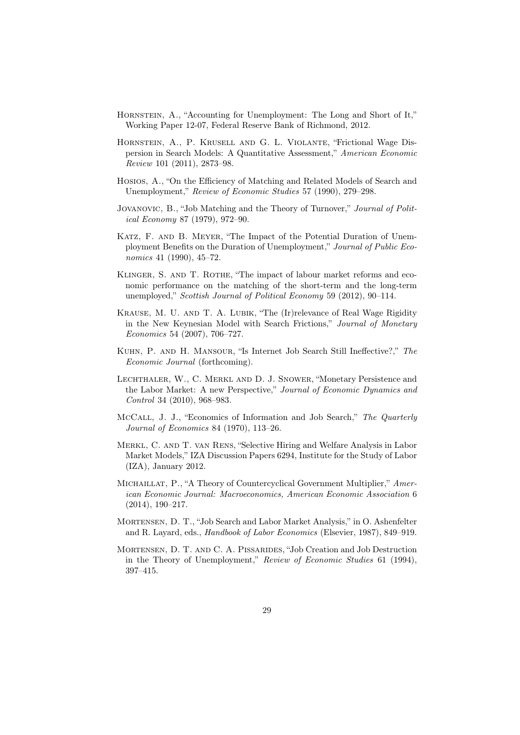- Hornstein, A., "Accounting for Unemployment: The Long and Short of It," Working Paper 12-07, Federal Reserve Bank of Richmond, 2012.
- Hornstein, A., P. Krusell and G. L. Violante, "Frictional Wage Dispersion in Search Models: A Quantitative Assessment," *American Economic Review* 101 (2011), 2873–98.
- Hosios, A., "On the Efficiency of Matching and Related Models of Search and Unemployment," *Review of Economic Studies* 57 (1990), 279–298.
- Jovanovic, B., "Job Matching and the Theory of Turnover," *Journal of Political Economy* 87 (1979), 972–90.
- Katz, F. and B. Meyer, "The Impact of the Potential Duration of Unemployment Benefits on the Duration of Unemployment," *Journal of Public Economics* 41 (1990), 45–72.
- KLINGER, S. AND T. ROTHE, "The impact of labour market reforms and economic performance on the matching of the short-term and the long-term unemployed," *Scottish Journal of Political Economy* 59 (2012), 90–114.
- Krause, M. U. and T. A. Lubik, "The (Ir)relevance of Real Wage Rigidity in the New Keynesian Model with Search Frictions," *Journal of Monetary Economics* 54 (2007), 706–727.
- Kuhn, P. and H. Mansour, "Is Internet Job Search Still Ineffective?," *The Economic Journal* (forthcoming).
- Lechthaler, W., C. Merkl and D. J. Snower, "Monetary Persistence and the Labor Market: A new Perspective," *Journal of Economic Dynamics and Control* 34 (2010), 968–983.
- McCall, J. J., "Economics of Information and Job Search," *The Quarterly Journal of Economics* 84 (1970), 113–26.
- Merkl, C. and T. van Rens, "Selective Hiring and Welfare Analysis in Labor Market Models," IZA Discussion Papers 6294, Institute for the Study of Labor (IZA), January 2012.
- Michaillat, P., "A Theory of Countercyclical Government Multiplier," *American Economic Journal: Macroeconomics, American Economic Association* 6 (2014), 190–217.
- Mortensen, D. T., "Job Search and Labor Market Analysis," in O. Ashenfelter and R. Layard, eds., *Handbook of Labor Economics* (Elsevier, 1987), 849–919.
- Mortensen, D. T. and C. A. Pissarides, "Job Creation and Job Destruction in the Theory of Unemployment," *Review of Economic Studies* 61 (1994), 397–415.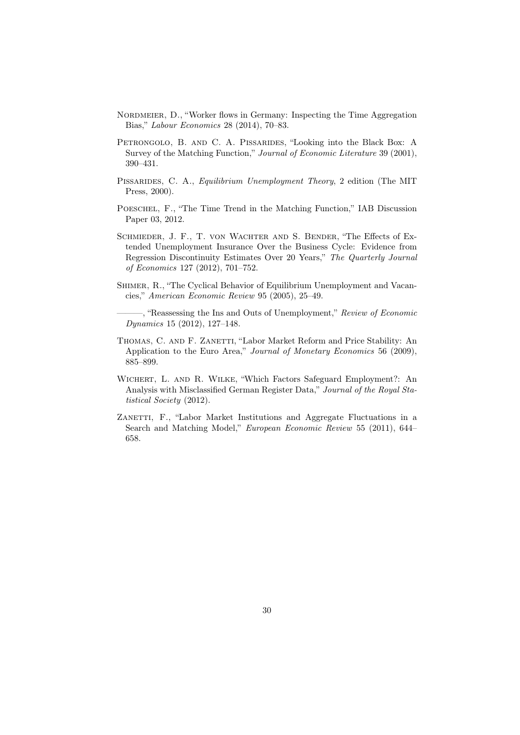- NORDMEIER, D., "Worker flows in Germany: Inspecting the Time Aggregation Bias," *Labour Economics* 28 (2014), 70–83.
- PETRONGOLO, B. AND C. A. PISSARIDES, "Looking into the Black Box: A Survey of the Matching Function," *Journal of Economic Literature* 39 (2001), 390–431.
- Pissarides, C. A., *Equilibrium Unemployment Theory*, 2 edition (The MIT Press, 2000).
- Poeschel, F., "The Time Trend in the Matching Function," IAB Discussion Paper 03, 2012.
- Schmieder, J. F., T. von Wachter and S. Bender, "The Effects of Extended Unemployment Insurance Over the Business Cycle: Evidence from Regression Discontinuity Estimates Over 20 Years," *The Quarterly Journal of Economics* 127 (2012), 701–752.
- SHIMER, R., "The Cyclical Behavior of Equilibrium Unemployment and Vacancies," *American Economic Review* 95 (2005), 25–49.

———, "Reassessing the Ins and Outs of Unemployment," *Review of Economic Dynamics* 15 (2012), 127–148.

- THOMAS, C. AND F. ZANETTI, "Labor Market Reform and Price Stability: An Application to the Euro Area," *Journal of Monetary Economics* 56 (2009), 885–899.
- Wichert, L. and R. Wilke, "Which Factors Safeguard Employment?: An Analysis with Misclassified German Register Data," *Journal of the Royal Statistical Society* (2012).
- ZANETTI, F., "Labor Market Institutions and Aggregate Fluctuations in a Search and Matching Model," *European Economic Review* 55 (2011), 644– 658.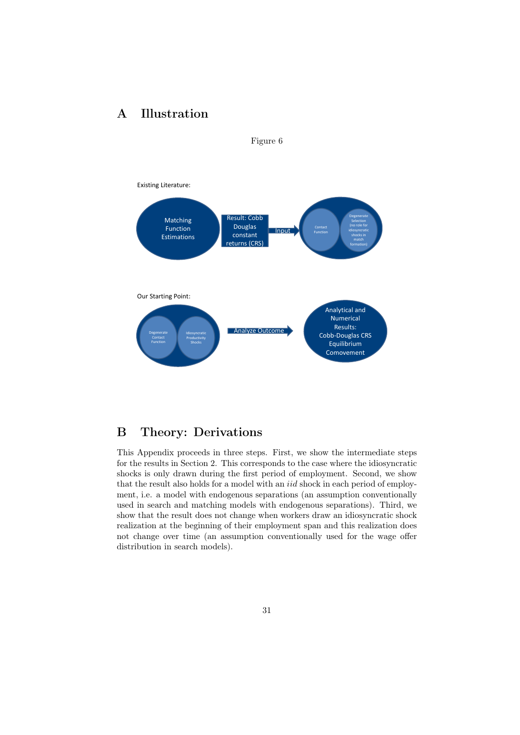## A Illustration



Figure 6

B Theory: Derivations

This Appendix proceeds in three steps. First, we show the intermediate steps for the results in Section 2. This corresponds to the case where the idiosyncratic shocks is only drawn during the first period of employment. Second, we show that the result also holds for a model with an *iid* shock in each period of employment, i.e. a model with endogenous separations (an assumption conventionally used in search and matching models with endogenous separations). Third, we show that the result does not change when workers draw an idiosyncratic shock realization at the beginning of their employment span and this realization does not change over time (an assumption conventionally used for the wage offer distribution in search models).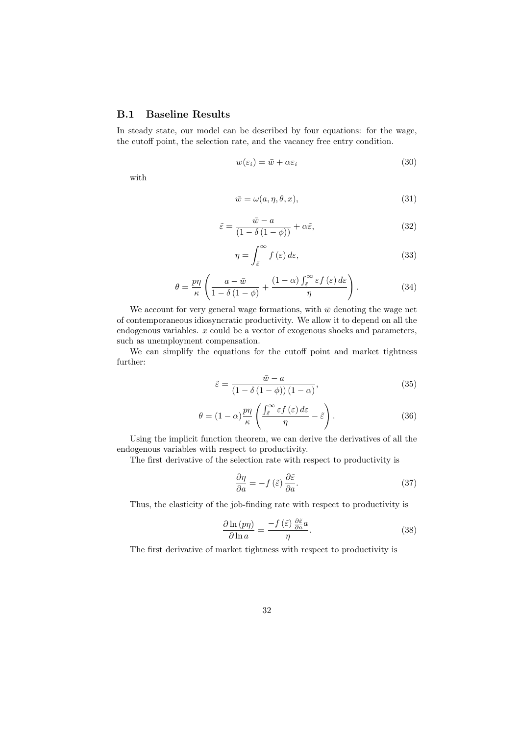### B.1 Baseline Results

In steady state, our model can be described by four equations: for the wage, the cutoff point, the selection rate, and the vacancy free entry condition.

$$
w(\varepsilon_i) = \bar{w} + \alpha \varepsilon_i \tag{30}
$$

with

$$
\bar{w} = \omega(a, \eta, \theta, x),\tag{31}
$$

$$
\tilde{\varepsilon} = \frac{\bar{w} - a}{(1 - \delta(1 - \phi))} + \alpha \tilde{\varepsilon},\tag{32}
$$

$$
\eta = \int_{\tilde{\varepsilon}}^{\infty} f(\varepsilon) d\varepsilon, \tag{33}
$$

$$
\theta = \frac{p\eta}{\kappa} \left( \frac{a - \bar{w}}{1 - \delta(1 - \phi)} + \frac{(1 - \alpha) \int_{\tilde{\varepsilon}}^{\infty} \varepsilon f(\varepsilon) d\varepsilon}{\eta} \right). \tag{34}
$$

We account for very general wage formations, with  $\bar{w}$  denoting the wage net of contemporaneous idiosyncratic productivity. We allow it to depend on all the endogenous variables. *x* could be a vector of exogenous shocks and parameters, such as unemployment compensation.

We can simplify the equations for the cutoff point and market tightness further:

$$
\tilde{\varepsilon} = \frac{\bar{w} - a}{\left(1 - \delta\left(1 - \phi\right)\right)\left(1 - \alpha\right)},\tag{35}
$$

$$
\theta = (1 - \alpha) \frac{p\eta}{\kappa} \left( \frac{\int_{\tilde{\varepsilon}}^{\infty} \varepsilon f(\varepsilon) d\varepsilon}{\eta} - \tilde{\varepsilon} \right). \tag{36}
$$

Using the implicit function theorem, we can derive the derivatives of all the endogenous variables with respect to productivity.

The first derivative of the selection rate with respect to productivity is

$$
\frac{\partial \eta}{\partial a} = -f\left(\tilde{\varepsilon}\right) \frac{\partial \tilde{\varepsilon}}{\partial a}.\tag{37}
$$

Thus, the elasticity of the job-finding rate with respect to productivity is

$$
\frac{\partial \ln\left(p\eta\right)}{\partial \ln a} = \frac{-f\left(\tilde{\varepsilon}\right)\frac{\partial \tilde{\varepsilon}}{\partial a}a}{\eta}.\tag{38}
$$

The first derivative of market tightness with respect to productivity is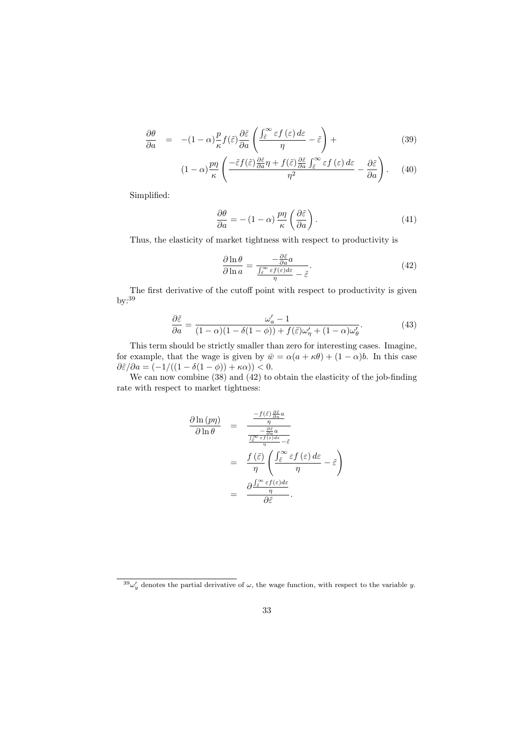$$
\frac{\partial \theta}{\partial a} = -(1 - \alpha) \frac{p}{\kappa} f(\tilde{\varepsilon}) \frac{\partial \tilde{\varepsilon}}{\partial a} \left( \frac{\int_{\tilde{\varepsilon}}^{\infty} \varepsilon f(\varepsilon) d\varepsilon}{\eta} - \tilde{\varepsilon} \right) + \tag{39}
$$

$$
(1 - \alpha) \frac{p\eta}{\kappa} \left( \frac{-\tilde{\varepsilon} f(\tilde{\varepsilon}) \frac{\partial \tilde{\varepsilon}}{\partial a} \eta + f(\tilde{\varepsilon}) \frac{\partial \tilde{\varepsilon}}{\partial a} \int_{\tilde{\varepsilon}}^{\infty} \varepsilon f(\varepsilon) \, d\varepsilon}{\eta^2} - \frac{\partial \tilde{\varepsilon}}{\partial a} \right). \tag{40}
$$

Simplified:

$$
\frac{\partial \theta}{\partial a} = - (1 - \alpha) \frac{p \eta}{\kappa} \left( \frac{\partial \tilde{\varepsilon}}{\partial a} \right). \tag{41}
$$

Thus, the elasticity of market tightness with respect to productivity is

$$
\frac{\partial \ln \theta}{\partial \ln a} = \frac{-\frac{\partial \tilde{\varepsilon}}{\partial a} a}{\frac{\int_{\tilde{\varepsilon}}^{\infty} \varepsilon f(\varepsilon) d\varepsilon}{\eta} - \tilde{\varepsilon}}.
$$
\n(42)

The first derivative of the cutoff point with respect to productivity is given  $by:39$ 

$$
\frac{\partial \tilde{\varepsilon}}{\partial a} = \frac{\omega_a' - 1}{(1 - \alpha)(1 - \delta(1 - \phi)) + f(\tilde{\varepsilon})\omega_{\eta}' + (1 - \alpha)\omega_{\theta}'}.\tag{43}
$$

This term should be strictly smaller than zero for interesting cases. Imagine, for example, that the wage is given by  $\bar{w} = \alpha(a + \kappa \theta) + (1 - \alpha)b$ . In this case  $\partial \tilde{\varepsilon}/\partial a = (-1/((1 - \delta(1 - \phi)) + \kappa \alpha)) < 0.$ 

We can now combine (38) and (42) to obtain the elasticity of the job-finding rate with respect to market tightness:

$$
\frac{\partial \ln{(p\eta)}}{\partial \ln \theta} = \frac{\frac{-f(\tilde{\varepsilon})\frac{\partial \tilde{\varepsilon}}{\partial a}a}{\eta}}{\frac{\frac{\partial \tilde{\varepsilon}}{\partial a}af(\tilde{\varepsilon})}{\eta}}}{\frac{f(\tilde{\varepsilon})}{\eta} \left(\frac{\int_{\tilde{\varepsilon}}^{\infty} \varepsilon f(\varepsilon) d\varepsilon}{\eta} - \tilde{\varepsilon}\right)}{\eta}} = \frac{f(\tilde{\varepsilon})}{\eta} \left(\frac{\int_{\tilde{\varepsilon}}^{\infty} \varepsilon f(\varepsilon) d\varepsilon}{\eta} - \tilde{\varepsilon}\right)
$$

$$
= \frac{\partial \frac{\int_{\tilde{\varepsilon}}^{\infty} \varepsilon f(\varepsilon) d\varepsilon}{\eta}}{\partial \tilde{\varepsilon}}.
$$

 $^{39}\omega'_{y}$  denotes the partial derivative of  $\omega$ , the wage function, with respect to the variable *y*.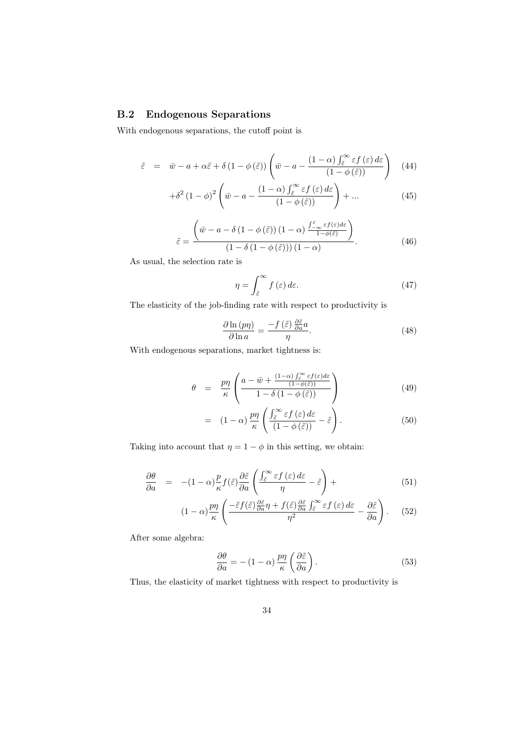### B.2 Endogenous Separations

With endogenous separations, the cutoff point is

$$
\tilde{\varepsilon} = \bar{w} - a + \alpha \tilde{\varepsilon} + \delta (1 - \phi(\tilde{\varepsilon})) \left( \bar{w} - a - \frac{(1 - \alpha) \int_{\tilde{\varepsilon}}^{\infty} \varepsilon f(\varepsilon) d\varepsilon}{(1 - \phi(\tilde{\varepsilon}))} \right)
$$
(44)

$$
+\delta^2 (1 - \phi)^2 \left(\bar{w} - a - \frac{(1 - \alpha) \int_{\tilde{\varepsilon}}^{\infty} \varepsilon f(\varepsilon) d\varepsilon}{(1 - \phi(\tilde{\varepsilon}))}\right) + \dots
$$
 (45)

$$
\tilde{\varepsilon} = \frac{\left(\bar{w} - a - \delta\left(1 - \phi\left(\tilde{\varepsilon}\right)\right)\left(1 - \alpha\right) \frac{\int_{-\infty}^{\tilde{\varepsilon}} \varepsilon f(\varepsilon) d\varepsilon}{1 - \phi(\tilde{\varepsilon})}\right)}{\left(1 - \delta\left(1 - \phi\left(\tilde{\varepsilon}\right)\right)\right)\left(1 - \alpha\right)}.\tag{46}
$$

As usual, the selection rate is

$$
\eta = \int_{\tilde{\varepsilon}}^{\infty} f(\varepsilon) d\varepsilon. \tag{47}
$$

The elasticity of the job-finding rate with respect to productivity is

$$
\frac{\partial \ln\left(p\eta\right)}{\partial \ln a} = \frac{-f\left(\tilde{\varepsilon}\right)\frac{\partial \tilde{\varepsilon}}{\partial a}a}{\eta}.\tag{48}
$$

With endogenous separations, market tightness is:

$$
\theta = \frac{p\eta}{\kappa} \left( \frac{a - \bar{w} + \frac{(1-\alpha)\int_{\tilde{\varepsilon}}^{\infty} \varepsilon f(\varepsilon) d\varepsilon}{1 - \delta(1 - \phi(\tilde{\varepsilon}))} }{1 - \delta(1 - \phi(\tilde{\varepsilon}))} \right) \tag{49}
$$

$$
= \left(1 - \alpha\right) \frac{p\eta}{\kappa} \left( \frac{\int_{\tilde{\varepsilon}}^{\infty} \varepsilon f\left(\varepsilon\right) d\varepsilon}{\left(1 - \phi\left(\tilde{\varepsilon}\right)\right)} - \tilde{\varepsilon} \right). \tag{50}
$$

Taking into account that  $\eta = 1 - \phi$  in this setting, we obtain:

$$
\frac{\partial \theta}{\partial a} = -(1 - \alpha) \frac{p}{\kappa} f(\tilde{\varepsilon}) \frac{\partial \tilde{\varepsilon}}{\partial a} \left( \frac{\int_{\tilde{\varepsilon}}^{\infty} \varepsilon f(\varepsilon) d\varepsilon}{\eta} - \tilde{\varepsilon} \right) + \tag{51}
$$

$$
(1 - \alpha) \frac{p\eta}{\kappa} \left( \frac{-\tilde{\varepsilon} f(\tilde{\varepsilon}) \frac{\partial \tilde{\varepsilon}}{\partial a} \eta + f(\tilde{\varepsilon}) \frac{\partial \tilde{\varepsilon}}{\partial a} \int_{\tilde{\varepsilon}}^{\infty} \varepsilon f(\varepsilon) d\varepsilon}{\eta^2} - \frac{\partial \tilde{\varepsilon}}{\partial a} \right). \tag{52}
$$

After some algebra:

$$
\frac{\partial \theta}{\partial a} = - (1 - \alpha) \frac{p \eta}{\kappa} \left( \frac{\partial \tilde{\varepsilon}}{\partial a} \right).
$$
 (53)

Thus, the elasticity of market tightness with respect to productivity is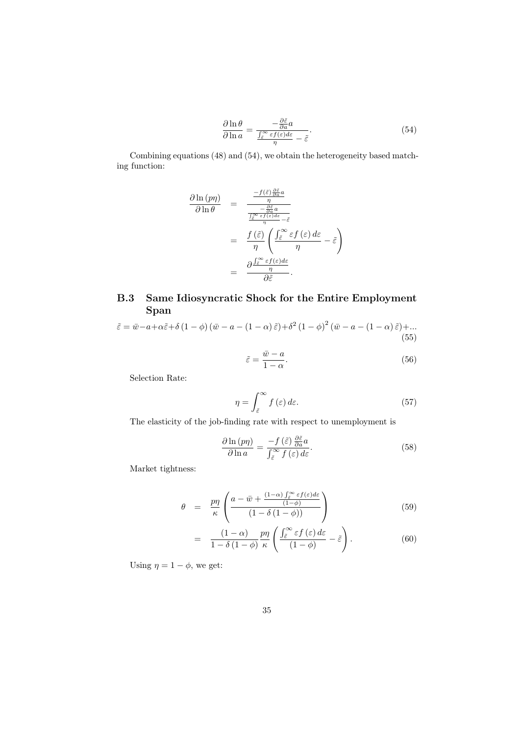$$
\frac{\partial \ln \theta}{\partial \ln a} = \frac{-\frac{\partial \tilde{\varepsilon}}{\partial a} a}{\frac{\int_{\tilde{\varepsilon}}^{\infty} \varepsilon f(\varepsilon) d\varepsilon}{\eta} - \tilde{\varepsilon}}.
$$
\n(54)

Combining equations (48) and (54), we obtain the heterogeneity based matching function:

$$
\frac{\partial \ln (p\eta)}{\partial \ln \theta} = \frac{\frac{-f(\tilde{\varepsilon})\frac{\partial \tilde{\varepsilon}}{\partial a}a}{\eta}}{\frac{\frac{\partial \tilde{\varepsilon}}{\partial a} \exp{\theta}a}{\eta}} = \frac{f(\tilde{\varepsilon})\sqrt{\frac{\partial \tilde{\varepsilon}}{\partial a}a}}{\eta} - \tilde{\varepsilon}} = \frac{f(\tilde{\varepsilon})\sqrt{\frac{\int \tilde{\varepsilon}}{\tilde{\varepsilon}} f(\varepsilon) d\varepsilon}}{\eta} - \tilde{\varepsilon}} - \frac{\partial \frac{\int \tilde{\varepsilon}}{\tilde{\varepsilon}} f(\varepsilon) d\varepsilon}{\eta}}{\partial \tilde{\varepsilon}}.
$$

## B.3 Same Idiosyncratic Shock for the Entire Employment Span

$$
\tilde{\varepsilon} = \bar{w} - a + \alpha \tilde{\varepsilon} + \delta \left( 1 - \phi \right) \left( \bar{w} - a - (1 - \alpha) \, \tilde{\varepsilon} \right) + \delta^2 \left( 1 - \phi \right)^2 \left( \bar{w} - a - (1 - \alpha) \, \tilde{\varepsilon} \right) + \dots
$$
\n(55)

$$
\tilde{\varepsilon} = \frac{\bar{w} - a}{1 - \alpha}.\tag{56}
$$

Selection Rate:

$$
\eta = \int_{\tilde{\varepsilon}}^{\infty} f(\varepsilon) d\varepsilon. \tag{57}
$$

The elasticity of the job-finding rate with respect to unemployment is

$$
\frac{\partial \ln\left(p\eta\right)}{\partial \ln a} = \frac{-f\left(\tilde{\varepsilon}\right)\frac{\partial \tilde{\varepsilon}}{\partial a}a}{\int_{\tilde{\varepsilon}}^{\infty} f\left(\varepsilon\right) d\varepsilon}.\tag{58}
$$

Market tightness:

$$
\theta = \frac{p\eta}{\kappa} \left( \frac{a - \bar{w} + \frac{(1 - \alpha)\int_{\tilde{\epsilon}}^{\infty} \varepsilon f(\varepsilon) d\varepsilon}{(1 - \delta(1 - \phi))} }{(1 - \delta(1 - \phi))} \right) \tag{59}
$$

$$
= \frac{(1-\alpha)}{1-\delta(1-\phi)} \frac{p\eta}{\kappa} \left( \frac{\int_{\tilde{\varepsilon}}^{\infty} \varepsilon f(\varepsilon) d\varepsilon}{(1-\phi)} - \tilde{\varepsilon} \right). \tag{60}
$$

Using  $\eta = 1 - \phi$ , we get: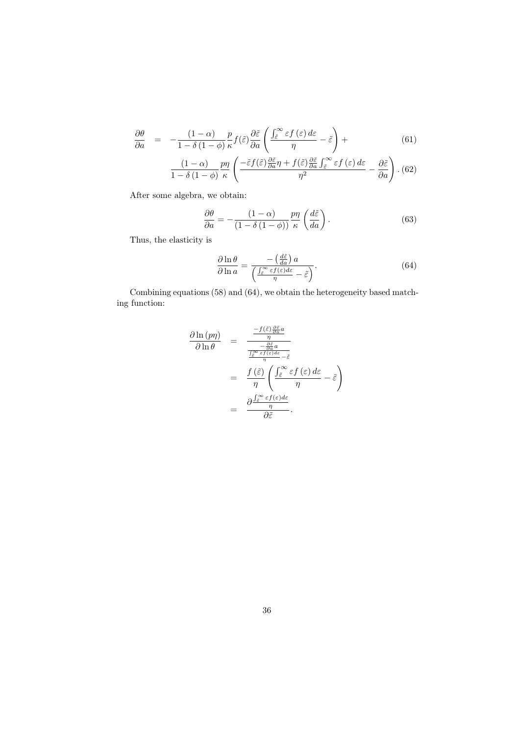$$
\frac{\partial \theta}{\partial a} = -\frac{(1-\alpha)}{1-\delta(1-\phi)} \frac{p}{\kappa} f(\tilde{\varepsilon}) \frac{\partial \tilde{\varepsilon}}{\partial a} \left( \frac{\int_{\tilde{\varepsilon}}^{\infty} \varepsilon f(\varepsilon) d\varepsilon}{\eta} - \tilde{\varepsilon} \right) + \tag{61}
$$

$$
\frac{(1-\alpha)}{1-\delta(1-\phi)}\frac{p\eta}{\kappa}\left(\frac{-\tilde{\varepsilon}f(\tilde{\varepsilon})\frac{\partial\tilde{\varepsilon}}{\partial a}\eta+f(\tilde{\varepsilon})\frac{\partial\tilde{\varepsilon}}{\partial a}\int_{\tilde{\varepsilon}}^{\infty}\varepsilon f(\varepsilon)\,d\varepsilon}{\eta^2}-\frac{\partial\tilde{\varepsilon}}{\partial a}\right). \tag{62}
$$

After some algebra, we obtain:

$$
\frac{\partial \theta}{\partial a} = -\frac{(1-\alpha)}{(1-\delta(1-\phi))} \frac{p\eta}{\kappa} \left(\frac{d\tilde{\varepsilon}}{da}\right). \tag{63}
$$

Thus, the elasticity is

$$
\frac{\partial \ln \theta}{\partial \ln a} = \frac{-\left(\frac{d\tilde{\varepsilon}}{da}\right)a}{\left(\frac{\int_{\tilde{\varepsilon}}^{\infty} \varepsilon f(\varepsilon) d\varepsilon}{\eta} - \tilde{\varepsilon}\right)}.
$$
(64)

Combining equations (58) and (64), we obtain the heterogeneity based matching function:

$$
\frac{\partial \ln (p\eta)}{\partial \ln \theta} = \frac{\frac{-f(\tilde{\varepsilon})\frac{\partial \tilde{\varepsilon}}{\partial a}a}{\eta}}{\frac{\frac{\partial \tilde{\varepsilon}}{\partial a} \exp{\theta}a}{\eta}} = \frac{f(\tilde{\varepsilon})\left(\frac{\int \tilde{\varepsilon}^{\infty} \varepsilon f(\varepsilon)d\varepsilon}{\eta} - \tilde{\varepsilon}\right)}{\eta} = \frac{f(\tilde{\varepsilon})}{\eta} \left(\frac{\int \tilde{\varepsilon}^{\infty} \varepsilon f(\varepsilon)d\varepsilon}{\eta} - \tilde{\varepsilon}\right)
$$

$$
= \frac{\partial \frac{\int \tilde{\varepsilon}^{\infty} \varepsilon f(\varepsilon)d\varepsilon}{\eta}}{\partial \tilde{\varepsilon}}.
$$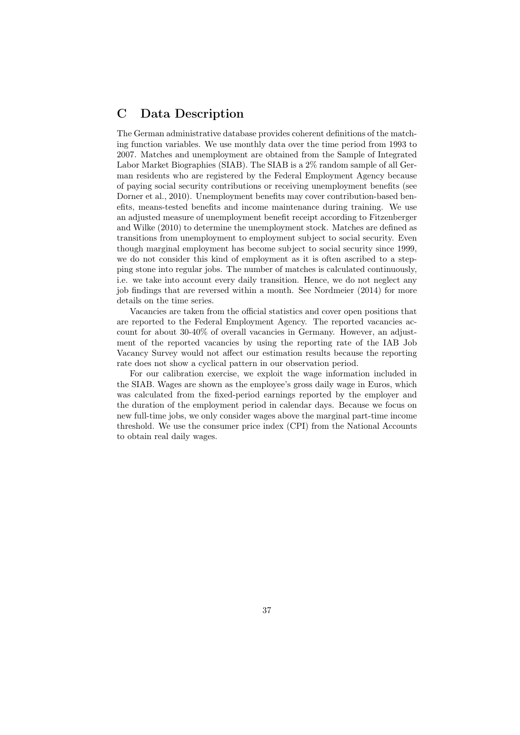## C Data Description

The German administrative database provides coherent definitions of the matching function variables. We use monthly data over the time period from 1993 to 2007. Matches and unemployment are obtained from the Sample of Integrated Labor Market Biographies (SIAB). The SIAB is a 2% random sample of all German residents who are registered by the Federal Employment Agency because of paying social security contributions or receiving unemployment benefits (see Dorner et al., 2010). Unemployment benefits may cover contribution-based benefits, means-tested benefits and income maintenance during training. We use an adjusted measure of unemployment benefit receipt according to Fitzenberger and Wilke (2010) to determine the unemployment stock. Matches are defined as transitions from unemployment to employment subject to social security. Even though marginal employment has become subject to social security since 1999, we do not consider this kind of employment as it is often ascribed to a stepping stone into regular jobs. The number of matches is calculated continuously, i.e. we take into account every daily transition. Hence, we do not neglect any job findings that are reversed within a month. See Nordmeier (2014) for more details on the time series.

Vacancies are taken from the official statistics and cover open positions that are reported to the Federal Employment Agency. The reported vacancies account for about 30-40% of overall vacancies in Germany. However, an adjustment of the reported vacancies by using the reporting rate of the IAB Job Vacancy Survey would not affect our estimation results because the reporting rate does not show a cyclical pattern in our observation period.

For our calibration exercise, we exploit the wage information included in the SIAB. Wages are shown as the employee's gross daily wage in Euros, which was calculated from the fixed-period earnings reported by the employer and the duration of the employment period in calendar days. Because we focus on new full-time jobs, we only consider wages above the marginal part-time income threshold. We use the consumer price index (CPI) from the National Accounts to obtain real daily wages.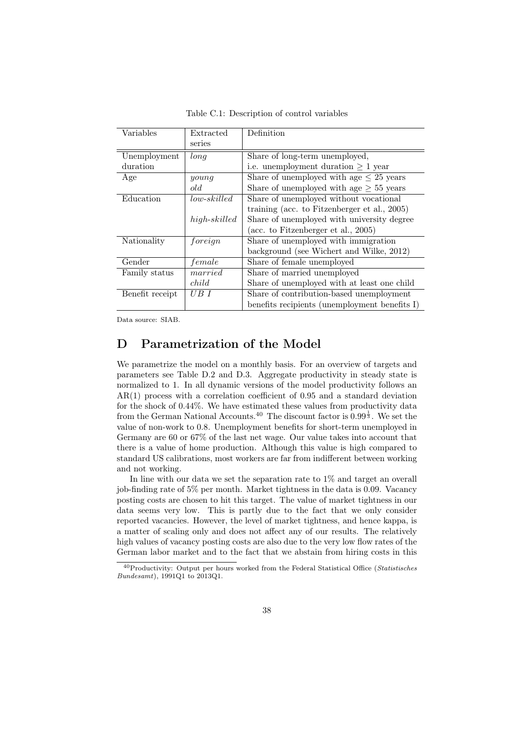| Variables       | Extracted       | Definition                                      |  |
|-----------------|-----------------|-------------------------------------------------|--|
|                 | series          |                                                 |  |
| Unemployment    | long            | Share of long-term unemployed,                  |  |
| duration        |                 | i.e. unemployment duration $\geq 1$ year        |  |
| Age             | $\gamma$        | Share of unemployed with age $\leq 25$ years    |  |
|                 | old             | Share of unemployed with age $\geq 55$ years    |  |
| Education       | low-skilled     | Share of unemployed without vocational          |  |
|                 |                 | training (acc. to Fitzenberger et al., $2005$ ) |  |
|                 | $high$ -skilled | Share of unemployed with university degree      |  |
|                 |                 | (acc. to Fitzenberger et al., $2005$ )          |  |
| Nationality     | foreign         | Share of unemployed with immigration            |  |
|                 |                 | background (see Wichert and Wilke, 2012)        |  |
| Gender          | female          | Share of female unemployed                      |  |
| Family status   | married         | Share of married unemployed                     |  |
|                 | child           | Share of unemployed with at least one child     |  |
| Benefit receipt | UB I            | Share of contribution-based unemployment        |  |
|                 |                 | benefits recipients (unemployment benefits I)   |  |

Table C.1: Description of control variables

Data source: SIAB.

## D Parametrization of the Model

We parametrize the model on a monthly basis. For an overview of targets and parameters see Table D.2 and D.3. Aggregate productivity in steady state is normalized to 1. In all dynamic versions of the model productivity follows an AR(1) process with a correlation coefficient of 0.95 and a standard deviation for the shock of 0.44%. We have estimated these values from productivity data from the German National Accounts.<sup>40</sup> The discount factor is  $0.99^{\frac{1}{3}}$ . We set the value of non-work to 0.8. Unemployment benefits for short-term unemployed in Germany are 60 or 67% of the last net wage. Our value takes into account that there is a value of home production. Although this value is high compared to standard US calibrations, most workers are far from indifferent between working and not working.

In line with our data we set the separation rate to 1% and target an overall job-finding rate of 5% per month. Market tightness in the data is 0.09. Vacancy posting costs are chosen to hit this target. The value of market tightness in our data seems very low. This is partly due to the fact that we only consider reported vacancies. However, the level of market tightness, and hence kappa, is a matter of scaling only and does not affect any of our results. The relatively high values of vacancy posting costs are also due to the very low flow rates of the German labor market and to the fact that we abstain from hiring costs in this

<sup>40</sup>Productivity: Output per hours worked from the Federal Statistical Office (*Statistisches Bundesamt*), 1991Q1 to 2013Q1.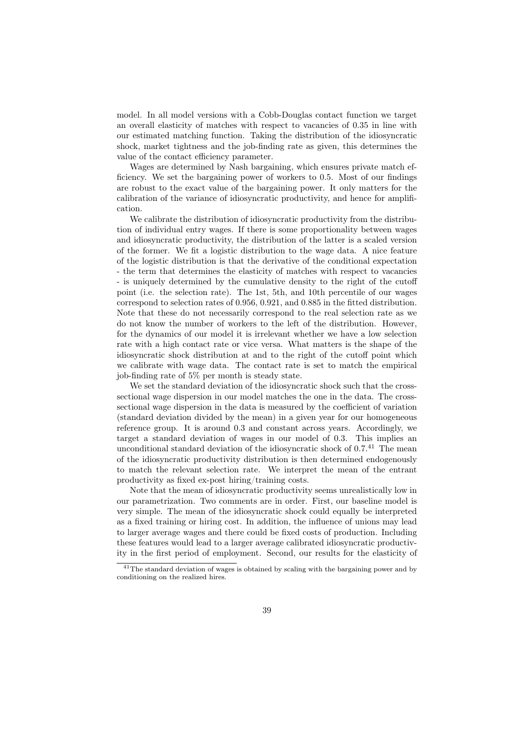model. In all model versions with a Cobb-Douglas contact function we target an overall elasticity of matches with respect to vacancies of 0.35 in line with our estimated matching function. Taking the distribution of the idiosyncratic shock, market tightness and the job-finding rate as given, this determines the value of the contact efficiency parameter.

Wages are determined by Nash bargaining, which ensures private match efficiency. We set the bargaining power of workers to 0.5. Most of our findings are robust to the exact value of the bargaining power. It only matters for the calibration of the variance of idiosyncratic productivity, and hence for amplification.

We calibrate the distribution of idiosyncratic productivity from the distribution of individual entry wages. If there is some proportionality between wages and idiosyncratic productivity, the distribution of the latter is a scaled version of the former. We fit a logistic distribution to the wage data. A nice feature of the logistic distribution is that the derivative of the conditional expectation - the term that determines the elasticity of matches with respect to vacancies - is uniquely determined by the cumulative density to the right of the cutoff point (i.e. the selection rate). The 1st, 5th, and 10th percentile of our wages correspond to selection rates of 0.956, 0.921, and 0.885 in the fitted distribution. Note that these do not necessarily correspond to the real selection rate as we do not know the number of workers to the left of the distribution. However, for the dynamics of our model it is irrelevant whether we have a low selection rate with a high contact rate or vice versa. What matters is the shape of the idiosyncratic shock distribution at and to the right of the cutoff point which we calibrate with wage data. The contact rate is set to match the empirical job-finding rate of 5% per month is steady state.

We set the standard deviation of the idiosyncratic shock such that the crosssectional wage dispersion in our model matches the one in the data. The crosssectional wage dispersion in the data is measured by the coefficient of variation (standard deviation divided by the mean) in a given year for our homogeneous reference group. It is around 0.3 and constant across years. Accordingly, we target a standard deviation of wages in our model of 0.3. This implies an unconditional standard deviation of the idiosyncratic shock of  $0.7<sup>41</sup>$  The mean of the idiosyncratic productivity distribution is then determined endogenously to match the relevant selection rate. We interpret the mean of the entrant productivity as fixed ex-post hiring/training costs.

Note that the mean of idiosyncratic productivity seems unrealistically low in our parametrization. Two comments are in order. First, our baseline model is very simple. The mean of the idiosyncratic shock could equally be interpreted as a fixed training or hiring cost. In addition, the influence of unions may lead to larger average wages and there could be fixed costs of production. Including these features would lead to a larger average calibrated idiosyncratic productivity in the first period of employment. Second, our results for the elasticity of

<sup>41</sup>The standard deviation of wages is obtained by scaling with the bargaining power and by conditioning on the realized hires.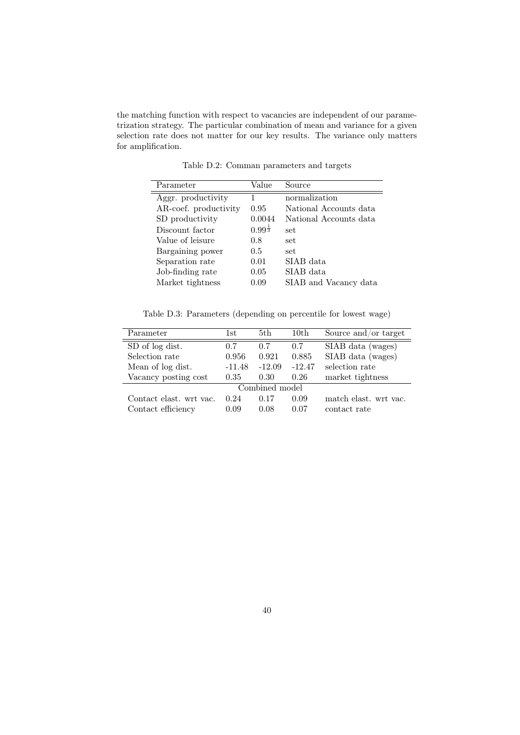the matching function with respect to vacancies are independent of our parametrization strategy. The particular combination of mean and variance for a given selection rate does not matter for our key results. The variance only matters for amplification.

| Parameter             | Value                | Source                 |
|-----------------------|----------------------|------------------------|
| Aggr. productivity    |                      | normalization          |
| AR-coef. productivity | 0.95                 | National Accounts data |
| SD productivity       | 0.0044               | National Accounts data |
| Discount factor       | $0.99^{\frac{1}{3}}$ | set.                   |
| Value of leisure      | 0.8                  | set                    |
| Bargaining power      | 0.5                  | set                    |
| Separation rate       | 0.01                 | SIAB data              |
| Job-finding rate      | 0.05                 | SIAB data              |
| Market tightness      | 0.09                 | SIAB and Vacancy data  |

Table D.2: Comman parameters and targets

Table D.3: Parameters (depending on percentile for lowest wage)

| Parameter               | 1st      | 5th      | 10th     | Source and/or target  |
|-------------------------|----------|----------|----------|-----------------------|
| SD of log dist.         | 0.7      | 0.7      | 0.7      | SIAB data (wages)     |
| Selection rate          | 0.956    | 0.921    | 0.885    | SIAB data (wages)     |
| Mean of log dist.       | $-11.48$ | $-12.09$ | $-12.47$ | selection rate        |
| Vacancy posting cost    | 0.35     | 0.30     | 0.26     | market tightness      |
| Combined model          |          |          |          |                       |
| Contact elast. wrt vac. | 0.24     | 0.17     | 0.09     | match elast, wrt vac. |
| Contact efficiency      | 0.09     | 0.08     | 0.07     | contact rate          |